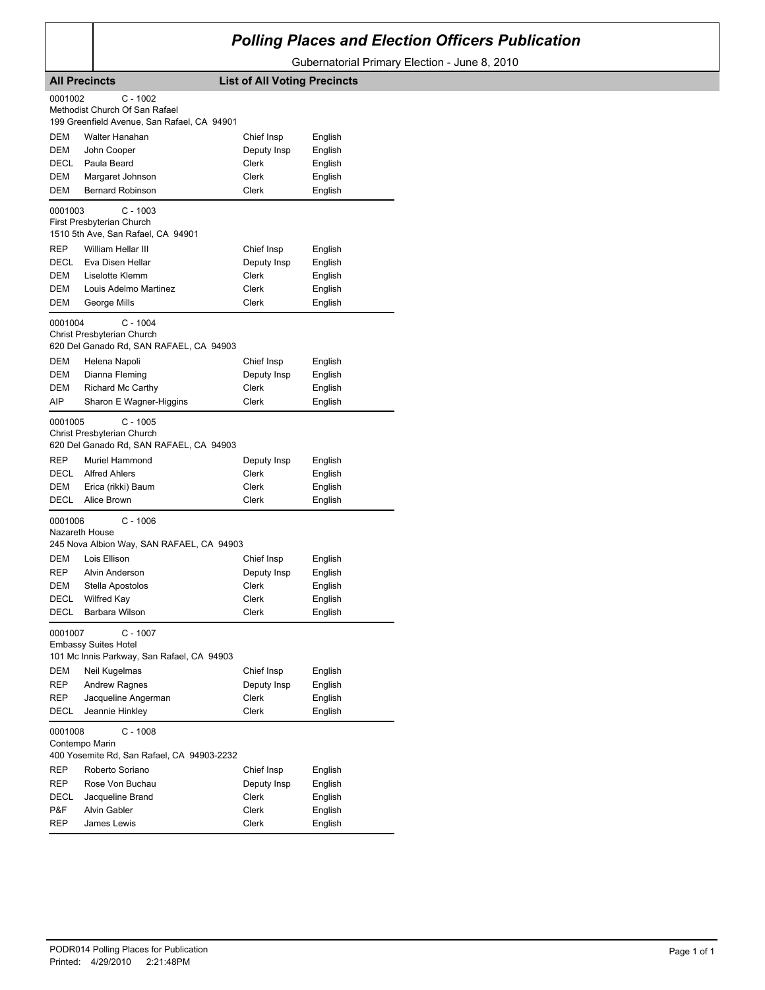## *Polling Places and Election Officers Publication*

Gubernatorial Primary Election - June 8, 2010

| <b>All Precincts</b>                                                                             |                                                                                                        | <b>List of All Voting Precincts</b> |         |  |  |  |
|--------------------------------------------------------------------------------------------------|--------------------------------------------------------------------------------------------------------|-------------------------------------|---------|--|--|--|
|                                                                                                  | 0001002<br>$C - 1002$<br>Methodist Church Of San Rafael<br>199 Greenfield Avenue, San Rafael, CA 94901 |                                     |         |  |  |  |
| <b>DEM</b>                                                                                       | Walter Hanahan                                                                                         | Chief Insp                          | English |  |  |  |
| DEM                                                                                              | John Cooper                                                                                            | Deputy Insp                         | English |  |  |  |
| DECL                                                                                             | Paula Beard                                                                                            | Clerk                               | English |  |  |  |
| DEM                                                                                              | Margaret Johnson                                                                                       | Clerk                               | English |  |  |  |
| DEM                                                                                              | <b>Bernard Robinson</b>                                                                                | Clerk                               | English |  |  |  |
| 0001003                                                                                          | $C - 1003$<br>First Presbyterian Church<br>1510 5th Ave, San Rafael, CA 94901                          |                                     |         |  |  |  |
| REP                                                                                              | William Hellar III                                                                                     | Chief Insp                          | English |  |  |  |
| DECL                                                                                             | Eva Disen Hellar                                                                                       | Deputy Insp                         | English |  |  |  |
| DEM                                                                                              | Liselotte Klemm                                                                                        | Clerk                               | English |  |  |  |
| DEM                                                                                              | Louis Adelmo Martinez                                                                                  | Clerk                               | English |  |  |  |
| DEM                                                                                              | George Mills                                                                                           | Clerk                               | English |  |  |  |
| 0001004                                                                                          | $C - 1004$<br>Christ Presbyterian Church<br>620 Del Ganado Rd, SAN RAFAEL, CA 94903                    |                                     |         |  |  |  |
| DEM                                                                                              | Helena Napoli                                                                                          | Chief Insp                          | English |  |  |  |
| DEM                                                                                              | Dianna Fleming                                                                                         | Deputy Insp                         | English |  |  |  |
| <b>DEM</b>                                                                                       | <b>Richard Mc Carthy</b>                                                                               | Clerk                               | English |  |  |  |
| AIP                                                                                              | Sharon E Wagner-Higgins                                                                                | Clerk                               | English |  |  |  |
| 0001005                                                                                          | $C - 1005$<br>Christ Presbyterian Church<br>620 Del Ganado Rd, SAN RAFAEL, CA 94903                    |                                     |         |  |  |  |
| REP                                                                                              | Muriel Hammond                                                                                         | Deputy Insp                         | English |  |  |  |
| DECL                                                                                             | <b>Alfred Ahlers</b>                                                                                   | Clerk                               | English |  |  |  |
| DEM                                                                                              | Erica (rikki) Baum                                                                                     | Clerk                               | English |  |  |  |
| <b>DECL</b>                                                                                      | Alice Brown                                                                                            | Clerk                               | English |  |  |  |
| 0001006<br>Nazareth House                                                                        | $C - 1006$<br>245 Nova Albion Way, SAN RAFAEL, CA 94903                                                |                                     |         |  |  |  |
| DEM                                                                                              | Lois Ellison                                                                                           | Chief Insp                          | English |  |  |  |
| <b>REP</b>                                                                                       | Alvin Anderson                                                                                         | Deputy Insp                         | English |  |  |  |
| DEM                                                                                              | Stella Apostolos                                                                                       | Clerk                               | English |  |  |  |
| DECL                                                                                             | <b>Wilfred Kay</b>                                                                                     | Clerk                               | English |  |  |  |
| DECL                                                                                             | Barbara Wilson                                                                                         | Clerk                               | English |  |  |  |
| 0001007<br>C - 1007<br><b>Embassy Suites Hotel</b><br>101 Mc Innis Parkway, San Rafael, CA 94903 |                                                                                                        |                                     |         |  |  |  |
| DEM                                                                                              | Neil Kugelmas                                                                                          | Chief Insp                          | English |  |  |  |
| REP                                                                                              | <b>Andrew Ragnes</b>                                                                                   | Deputy Insp                         | English |  |  |  |
| REP                                                                                              | Jacqueline Angerman                                                                                    | Clerk                               | English |  |  |  |
| DECL                                                                                             | Jeannie Hinkley                                                                                        | Clerk                               | English |  |  |  |
| 0001008                                                                                          | $C - 1008$<br>Contempo Marin<br>400 Yosemite Rd, San Rafael, CA 94903-2232                             |                                     |         |  |  |  |
| <b>REP</b>                                                                                       | Roberto Soriano                                                                                        | Chief Insp                          | English |  |  |  |
| REP                                                                                              | Rose Von Buchau                                                                                        | Deputy Insp                         | English |  |  |  |
| DECL                                                                                             | Jacqueline Brand                                                                                       | Clerk                               | English |  |  |  |
| P&F                                                                                              | <b>Alvin Gabler</b>                                                                                    | Clerk                               | English |  |  |  |
| <b>REP</b>                                                                                       | James Lewis                                                                                            | Clerk                               | English |  |  |  |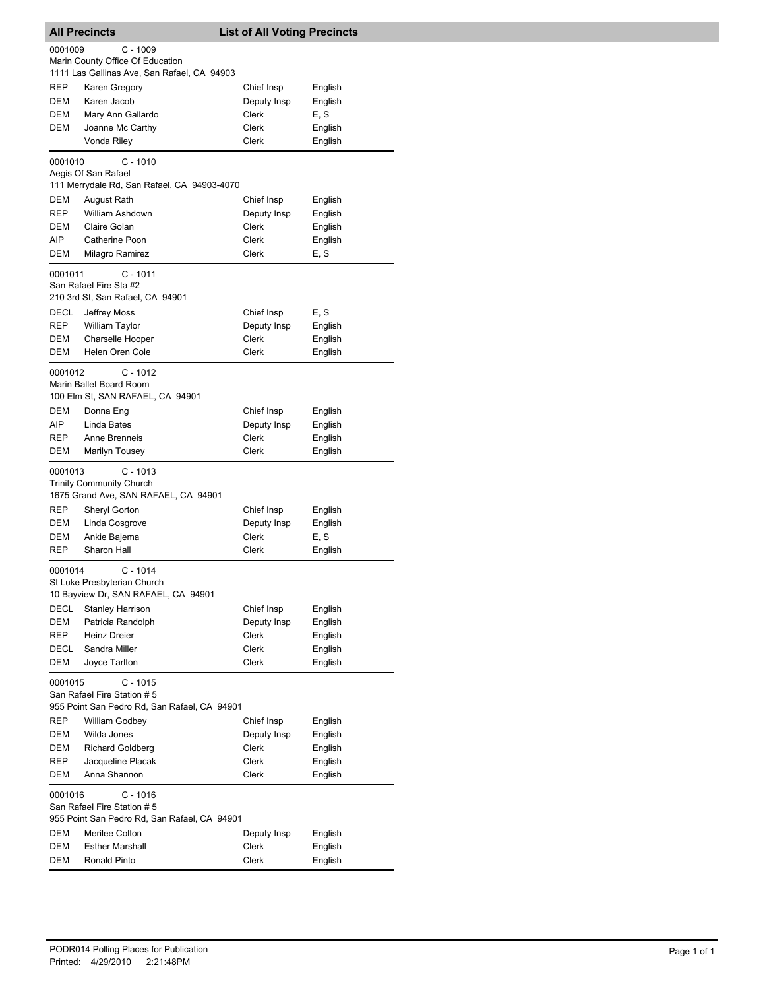| <b>All Precincts</b><br><b>List of All Voting Precincts</b> |                                                                         |              |                    |
|-------------------------------------------------------------|-------------------------------------------------------------------------|--------------|--------------------|
| 0001009                                                     | $C - 1009$<br>Marin County Office Of Education                          |              |                    |
| <b>REP</b>                                                  | 1111 Las Gallinas Ave, San Rafael, CA 94903<br>Karen Gregory            | Chief Insp   |                    |
| <b>DEM</b>                                                  | Karen Jacob                                                             | Deputy Insp  | English<br>English |
| DEM                                                         | Mary Ann Gallardo                                                       | Clerk        | E, S               |
| DEM                                                         | Joanne Mc Carthy                                                        | Clerk        | English            |
|                                                             | Vonda Riley                                                             | Clerk        | English            |
| 0001010                                                     | $C - 1010$                                                              |              |                    |
|                                                             | Aegis Of San Rafael                                                     |              |                    |
|                                                             | 111 Merrydale Rd, San Rafael, CA 94903-4070                             |              |                    |
| DEM                                                         | August Rath                                                             | Chief Insp   | English            |
| <b>REP</b>                                                  | William Ashdown                                                         | Deputy Insp  | English            |
| DEM                                                         | Claire Golan                                                            | Clerk        | English            |
| AIP                                                         | Catherine Poon                                                          | Clerk        | English            |
| DEM                                                         | Milagro Ramirez                                                         | Clerk        | E, S               |
| 0001011                                                     | $C - 1011$                                                              |              |                    |
|                                                             | San Rafael Fire Sta #2                                                  |              |                    |
|                                                             | 210 3rd St, San Rafael, CA 94901                                        |              |                    |
| <b>DECL</b>                                                 | Jeffrey Moss                                                            | Chief Insp   | E, S               |
| <b>REP</b>                                                  | William Taylor                                                          | Deputy Insp  | English            |
| <b>DEM</b>                                                  | <b>Charselle Hooper</b>                                                 | Clerk        | English            |
| <b>DEM</b>                                                  | Helen Oren Cole                                                         | Clerk        | English            |
| 0001012                                                     | C - 1012                                                                |              |                    |
|                                                             | Marin Ballet Board Room                                                 |              |                    |
|                                                             | 100 Elm St, SAN RAFAEL, CA 94901                                        |              |                    |
| DEM                                                         | Donna Eng                                                               | Chief Insp   | English            |
| AIP                                                         | Linda Bates                                                             | Deputy Insp  | English            |
| <b>REP</b>                                                  | Anne Brenneis                                                           | Clerk        | English            |
| DEM                                                         | <b>Marilyn Tousey</b>                                                   | <b>Clerk</b> | English            |
| 0001013                                                     | $C - 1013$                                                              |              |                    |
|                                                             | <b>Trinity Community Church</b><br>1675 Grand Ave, SAN RAFAEL, CA 94901 |              |                    |
| <b>REP</b>                                                  | Sheryl Gorton                                                           | Chief Insp   | English            |
| DEM                                                         | Linda Cosgrove                                                          | Deputy Insp  | English            |
| <b>DEM</b>                                                  | Ankie Bajema                                                            | Clerk        | E, S               |
| <b>REP</b>                                                  | Sharon Hall                                                             | Clerk        | English            |
|                                                             |                                                                         |              |                    |
| 0001014                                                     | $C - 1014$<br>St Luke Presbyterian Church                               |              |                    |
|                                                             | 10 Bayview Dr, SAN RAFAEL, CA 94901                                     |              |                    |
| DECL                                                        | <b>Stanley Harrison</b>                                                 | Chief Insp   | English            |
| DEM                                                         | Patricia Randolph                                                       | Deputy Insp  | English            |
| REP                                                         | Heinz Dreier                                                            | Clerk        | English            |
| DECL                                                        | Sandra Miller                                                           | Clerk        | English            |
| DEM                                                         | Joyce Tarlton                                                           | Clerk        | English            |
| 0001015                                                     | C - 1015                                                                |              |                    |
|                                                             | San Rafael Fire Station #5                                              |              |                    |
|                                                             | 955 Point San Pedro Rd, San Rafael, CA 94901                            |              |                    |
| REP                                                         | William Godbey                                                          | Chief Insp   | English            |
| DEM                                                         | Wilda Jones                                                             | Deputy Insp  | English            |
| DEM                                                         | <b>Richard Goldberg</b>                                                 | Clerk        | English            |
| REP                                                         | Jacqueline Placak                                                       | Clerk        | English            |
| DEM                                                         | Anna Shannon                                                            | Clerk        | English            |
| 0001016                                                     | $C - 1016$                                                              |              |                    |
|                                                             | San Rafael Fire Station #5                                              |              |                    |
|                                                             | 955 Point San Pedro Rd, San Rafael, CA 94901                            |              |                    |
| DEM                                                         | Merilee Colton                                                          | Deputy Insp  | English            |
| DEM                                                         | <b>Esther Marshall</b>                                                  | Clerk        | English            |
| DEM                                                         | Ronald Pinto                                                            | Clerk        | English            |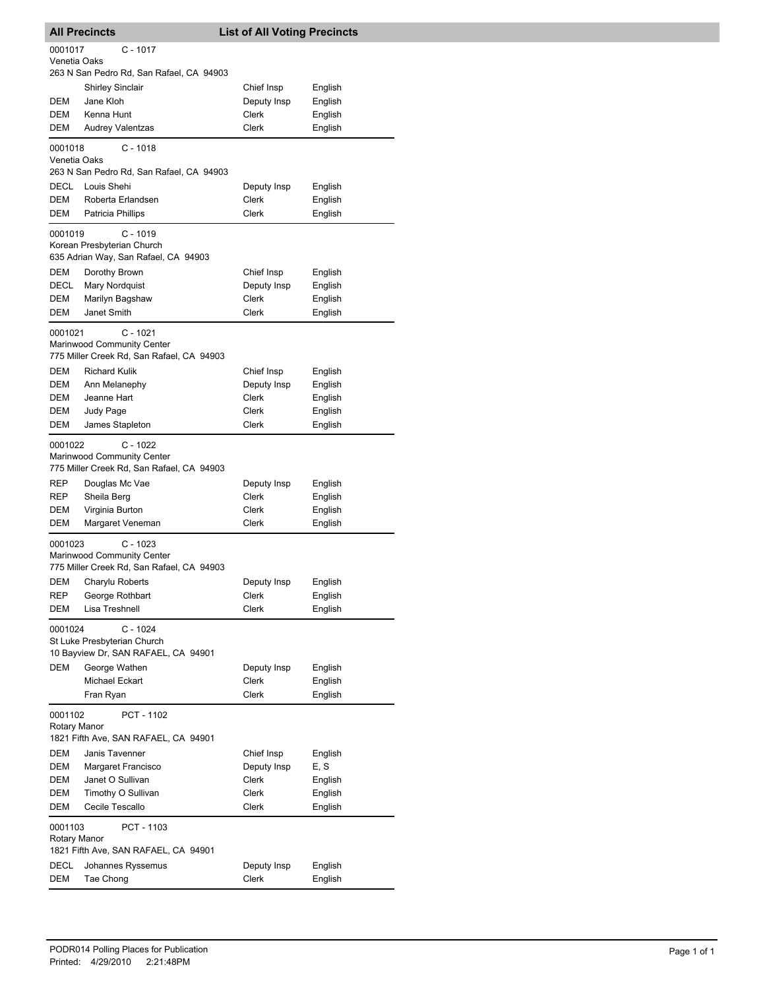|                         | <b>All Precincts</b>    |                                                                                       | <b>List of All Voting Precincts</b> |         |
|-------------------------|-------------------------|---------------------------------------------------------------------------------------|-------------------------------------|---------|
| 0001017<br>Venetia Oaks |                         | $C - 1017$                                                                            |                                     |         |
|                         |                         | 263 N San Pedro Rd, San Rafael, CA 94903                                              |                                     |         |
|                         | Shirley Sinclair        |                                                                                       | Chief Insp                          | English |
| DEM                     | Jane Kloh               |                                                                                       | Deputy Insp                         | English |
| DEM                     | Kenna Hunt              |                                                                                       | Clerk                               | English |
| DEM                     | <b>Audrey Valentzas</b> |                                                                                       | Clerk                               | English |
| 0001018<br>Venetia Oaks |                         | C - 1018<br>263 N San Pedro Rd, San Rafael, CA 94903                                  |                                     |         |
| <b>DECL</b>             | Louis Shehi             |                                                                                       | Deputy Insp                         | English |
| <b>DEM</b>              |                         | Roberta Erlandsen                                                                     | Clerk                               | English |
| DEM                     | Patricia Phillips       |                                                                                       | Clerk                               | English |
| 0001019                 |                         | $C - 1019$<br>Korean Presbyterian Church<br>635 Adrian Way, San Rafael, CA 94903      |                                     |         |
| DEM                     | Dorothy Brown           |                                                                                       | Chief Insp                          | English |
| DECL                    | Mary Nordquist          |                                                                                       | Deputy Insp                         | English |
| DEM                     | Marilyn Bagshaw         |                                                                                       | <b>Clerk</b>                        | English |
| <b>DEM</b>              | Janet Smith             |                                                                                       | Clerk                               | English |
| 0001021                 |                         | $C - 1021$<br>Marinwood Community Center<br>775 Miller Creek Rd, San Rafael, CA 94903 |                                     |         |
| DEM                     | <b>Richard Kulik</b>    |                                                                                       | Chief Insp                          | English |
| DEM                     | Ann Melanephy           |                                                                                       | Deputy Insp                         | English |
| DEM                     | Jeanne Hart             |                                                                                       | Clerk                               | English |
| DEM                     | Judy Page               |                                                                                       | Clerk                               | English |
| DEM                     | James Stapleton         |                                                                                       | Clerk                               | English |
| 0001022                 |                         | $C - 1022$                                                                            |                                     |         |
|                         |                         | Marinwood Community Center<br>775 Miller Creek Rd, San Rafael, CA 94903               |                                     |         |
| REP                     | Douglas Mc Vae          |                                                                                       | Deputy Insp                         | English |
| REP                     | Sheila Berg             |                                                                                       | Clerk                               | English |
| DEM                     | Virginia Burton         |                                                                                       | Clerk                               | English |
| DEM                     |                         | Margaret Veneman                                                                      | Clerk                               | English |
| 0001023                 |                         | $C - 1023$<br>Marinwood Community Center<br>775 Miller Creek Rd, San Rafael, CA 94903 |                                     |         |
| <b>DEM</b>              | Charylu Roberts         |                                                                                       | Deputy Insp                         | English |
| <b>REP</b>              | George Rothbart         |                                                                                       | Clerk                               | English |
| DEM                     | Lisa Treshnell          |                                                                                       | <b>Clerk</b>                        | English |
| 0001024                 |                         | $C - 1024$<br>St Luke Presbyterian Church<br>10 Bayview Dr, SAN RAFAEL, CA 94901      |                                     |         |
| DEM                     | George Wathen           |                                                                                       | Deputy Insp                         | English |
|                         | Michael Eckart          |                                                                                       | Clerk                               | English |
|                         | Fran Ryan               |                                                                                       | Clerk                               | English |
| 0001102<br>Rotary Manor |                         | PCT - 1102<br>1821 Fifth Ave, SAN RAFAEL, CA 94901                                    |                                     |         |
| DEM                     | Janis Tavenner          |                                                                                       | Chief Insp                          | English |
| DEM                     |                         | Margaret Francisco                                                                    | Deputy Insp                         | E, S    |
| DEM                     | Janet O Sullivan        |                                                                                       | Clerk                               | English |
| DEM                     |                         | Timothy O Sullivan                                                                    | Clerk                               | English |
| DEM                     | Cecile Tescallo         |                                                                                       | Clerk                               | English |
| 0001103<br>Rotary Manor |                         | PCT - 1103                                                                            |                                     |         |
|                         |                         | 1821 Fifth Ave, SAN RAFAEL, CA 94901                                                  |                                     |         |
| DECL                    |                         | Johannes Ryssemus                                                                     | Deputy Insp                         | English |
| <b>DEM</b>              | Tae Chong               |                                                                                       | Clerk                               | English |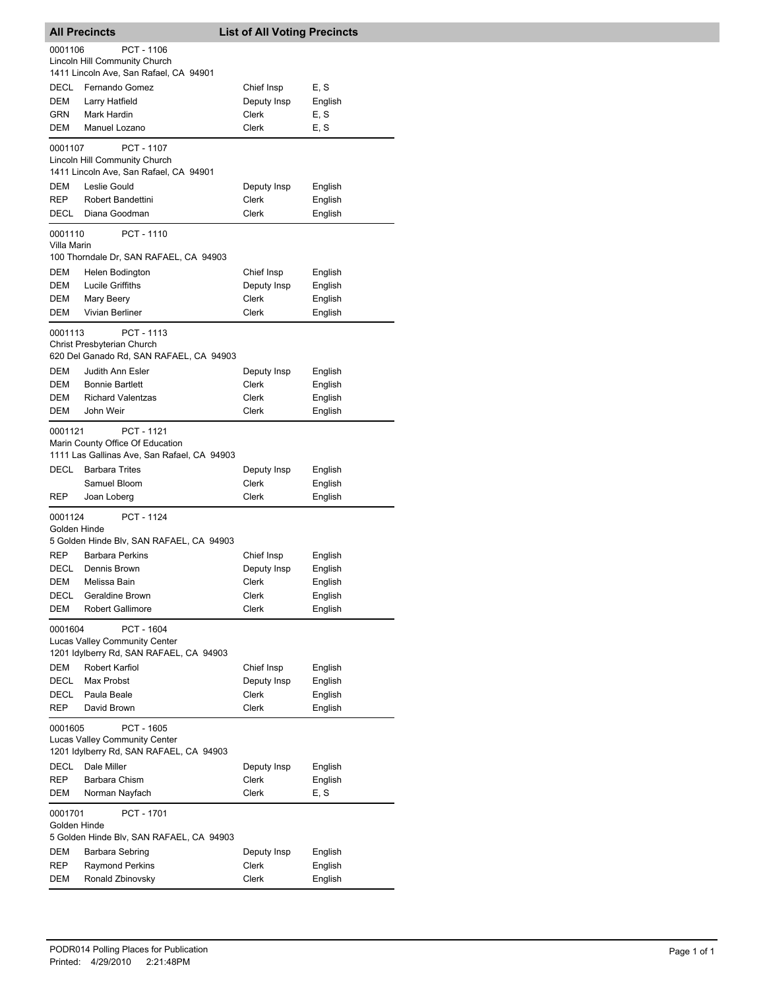|                           | <b>All Precincts</b>                                                                                                   | <b>List of All Voting Precincts</b> |                    |
|---------------------------|------------------------------------------------------------------------------------------------------------------------|-------------------------------------|--------------------|
| 0001106                   | PCT - 1106<br>Lincoln Hill Community Church<br>1411 Lincoln Ave, San Rafael, CA 94901                                  |                                     |                    |
| <b>DECL</b>               | Fernando Gomez                                                                                                         | Chief Insp                          | E, S               |
| <b>DEM</b>                | Larry Hatfield                                                                                                         | Deputy Insp                         | English            |
| GRN                       | Mark Hardin                                                                                                            | Clerk                               | E, S               |
| DEM                       | Manuel Lozano                                                                                                          | <b>Clerk</b>                        | E, S               |
| 0001107                   | PCT - 1107<br>Lincoln Hill Community Church                                                                            |                                     |                    |
|                           | 1411 Lincoln Ave, San Rafael, CA 94901                                                                                 |                                     |                    |
| <b>DEM</b>                | Leslie Gould                                                                                                           | Deputy Insp                         | English            |
| REP<br>DECL               | <b>Robert Bandettini</b><br>Diana Goodman                                                                              | Clerk<br>Clerk                      | English<br>English |
| 0001110<br>Villa Marin    | PCT - 1110<br>100 Thorndale Dr, SAN RAFAEL, CA 94903                                                                   |                                     |                    |
| DEM                       | Helen Bodington                                                                                                        | Chief Insp                          | English            |
| DEM                       | Lucile Griffiths                                                                                                       | Deputy Insp                         | English            |
| DEM                       | Mary Beery                                                                                                             | <b>Clerk</b>                        | English            |
| DEM                       | Vivian Berliner                                                                                                        | Clerk                               | English            |
| 0001113                   | PCT - 1113<br>Christ Presbyterian Church                                                                               |                                     |                    |
|                           | 620 Del Ganado Rd, SAN RAFAEL, CA 94903<br>Judith Ann Esler                                                            |                                     |                    |
| DEM<br>DEM                | <b>Bonnie Bartlett</b>                                                                                                 | Deputy Insp<br>Clerk                | English<br>English |
| DEM                       | <b>Richard Valentzas</b>                                                                                               | Clerk                               | English            |
| DEM                       | John Weir                                                                                                              | <b>Clerk</b>                        | English            |
| 0001121<br><b>DECL</b>    | PCT - 1121<br>Marin County Office Of Education<br>1111 Las Gallinas Ave, San Rafael, CA 94903<br><b>Barbara Trites</b> | Deputy Insp                         | English            |
|                           | Samuel Bloom                                                                                                           | Clerk                               | English            |
| REP                       | Joan Loberg                                                                                                            | Clerk                               | English            |
| 0001124<br>Golden Hinde   | <b>PCT - 1124</b>                                                                                                      |                                     |                    |
|                           | 5 Golden Hinde Blv, SAN RAFAEL, CA 94903                                                                               |                                     |                    |
| <b>REP</b>                | <b>Barbara Perkins</b>                                                                                                 | Chief Insp                          | English            |
| DECL                      | Dennis Brown                                                                                                           | Deputy Insp                         | English            |
| DEM                       | Melissa Bain                                                                                                           | Clerk                               | English            |
| DECL                      | Geraldine Brown                                                                                                        | Clerk                               | English            |
| DEM                       | <b>Robert Gallimore</b>                                                                                                | Clerk                               | English            |
| 0001604                   | PCT - 1604<br>Lucas Valley Community Center<br>1201 Idylberry Rd, SAN RAFAEL, CA 94903                                 |                                     |                    |
| DEM                       | Robert Karfiol                                                                                                         | Chief Insp                          | English            |
| <b>DECL</b>               | Max Probst                                                                                                             | Deputy Insp                         | English            |
| <b>DECL</b><br><b>REP</b> | Paula Beale<br>David Brown                                                                                             | Clerk<br>Clerk                      | English<br>English |
|                           |                                                                                                                        |                                     |                    |
| 0001605                   | PCT - 1605<br>Lucas Valley Community Center<br>1201 Idylberry Rd, SAN RAFAEL, CA 94903                                 |                                     |                    |
| DECL                      | Dale Miller                                                                                                            | Deputy Insp                         | English            |
| REP                       | Barbara Chism                                                                                                          | Clerk                               | English            |
| <b>DEM</b>                | Norman Nayfach                                                                                                         | Clerk                               | E, S               |
| 0001701<br>Golden Hinde   | PCT - 1701<br>5 Golden Hinde Blv, SAN RAFAEL, CA 94903                                                                 |                                     |                    |
| DEM                       | Barbara Sebring                                                                                                        | Deputy Insp                         | English            |
| REP                       | <b>Raymond Perkins</b>                                                                                                 | Clerk                               | English            |
| DEM                       | Ronald Zbinovsky                                                                                                       | Clerk                               | English            |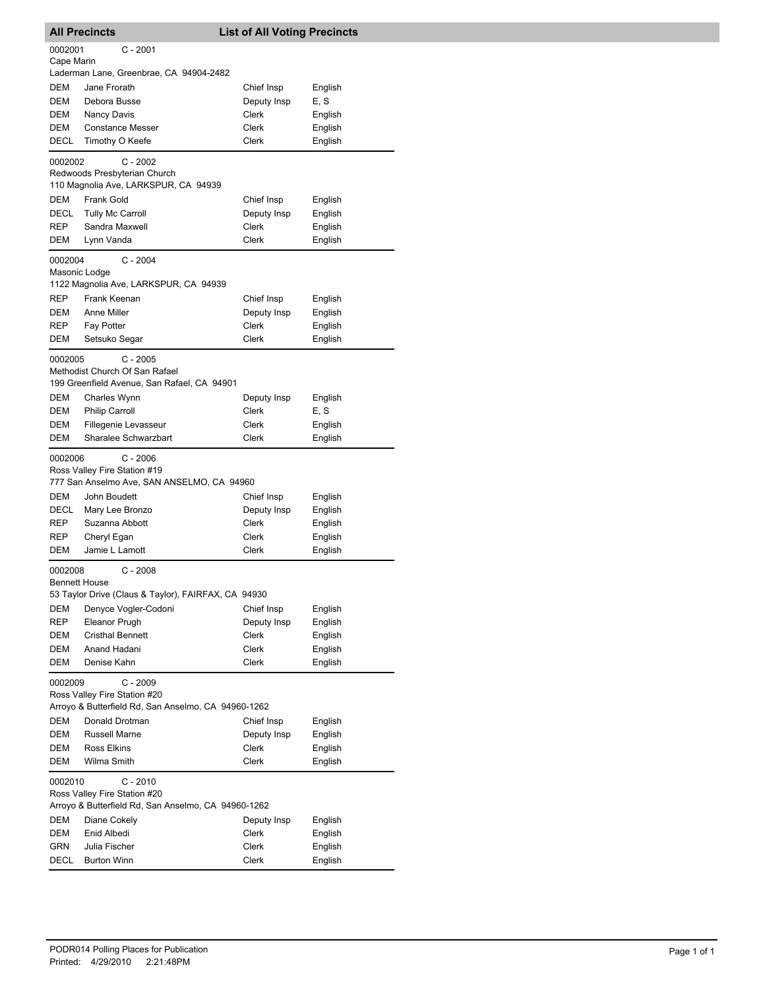|                          | <b>All Precincts</b>                                                                     | <b>List of All Voting Precincts</b> |         |
|--------------------------|------------------------------------------------------------------------------------------|-------------------------------------|---------|
| 0002001                  | $C - 2001$                                                                               |                                     |         |
| Cape Marin               |                                                                                          |                                     |         |
|                          | Laderman Lane, Greenbrae, CA 94904-2482                                                  |                                     |         |
| DEM                      | Jane Frorath                                                                             | Chief Insp                          | English |
| DEM                      | Debora Busse                                                                             | Deputy Insp                         | E, S    |
| DEM                      | Nancy Davis                                                                              | Clerk                               | English |
| DEM                      | <b>Constance Messer</b>                                                                  | Clerk                               | English |
| DECL                     | Timothy O Keefe                                                                          | Clerk                               | English |
| 0002002                  | $C - 2002$                                                                               |                                     |         |
|                          | Redwoods Presbyterian Church<br>110 Magnolia Ave, LARKSPUR, CA 94939                     |                                     |         |
| DEM                      | Frank Gold                                                                               | Chief Insp                          | English |
| DECL                     | <b>Tully Mc Carroll</b>                                                                  | Deputy Insp                         | English |
| REP                      | Sandra Maxwell                                                                           | Clerk                               | English |
| DEM                      | Lynn Vanda                                                                               | Clerk                               | English |
| 0002004<br>Masonic Lodge | $C - 2004$                                                                               |                                     |         |
|                          | 1122 Magnolia Ave, LARKSPUR, CA 94939                                                    |                                     |         |
| REP                      | Frank Keenan                                                                             | Chief Insp                          | English |
| DEM                      | Anne Miller                                                                              | Deputy Insp                         | English |
| REP                      | Fay Potter                                                                               | Clerk                               | English |
| <b>DEM</b>               | Setsuko Segar                                                                            | Clerk                               | English |
| 0002005                  | $C - 2005$                                                                               |                                     |         |
|                          | Methodist Church Of San Rafael                                                           |                                     |         |
|                          | 199 Greenfield Avenue, San Rafael, CA 94901                                              |                                     |         |
| DEM                      | Charles Wynn                                                                             | Deputy Insp                         | English |
| DEM                      | <b>Philip Carroll</b>                                                                    | Clerk                               | E, S    |
| DEM                      | Fillegenie Levasseur                                                                     | Clerk                               | English |
| DEM                      | Sharalee Schwarzbart                                                                     | Clerk                               | English |
| 0002006                  | $C - 2006$<br>Ross Valley Fire Station #19<br>777 San Anselmo Ave, SAN ANSELMO, CA 94960 |                                     |         |
| DEM                      | John Boudett                                                                             | Chief Insp                          | English |
| DECL                     | Mary Lee Bronzo                                                                          | Deputy Insp                         | English |
| REP                      | Suzanna Abbott                                                                           | Clerk                               | English |
| REP                      | Cheryl Egan                                                                              | Clerk                               | English |
| DEM                      | Jamie L Lamott                                                                           | Clerk                               | English |
| 0002008<br>Bennett House | $C - 2008$                                                                               |                                     |         |
|                          | 53 Taylor Drive (Claus & Taylor), FAIRFAX, CA 94930                                      |                                     |         |
| DEM                      | Denyce Vogler-Codoni                                                                     | Chief Insp                          | English |
| REP                      | Eleanor Prugh                                                                            | Deputy Insp                         | English |
| DEM                      | <b>Cristhal Bennett</b>                                                                  | Clerk                               | English |
| DEM                      | Anand Hadani                                                                             | Clerk                               | English |
| DEM                      | Denise Kahn                                                                              | Clerk                               | English |
| 0002009                  | C - 2009<br>Ross Valley Fire Station #20                                                 |                                     |         |
|                          | Arroyo & Butterfield Rd, San Anselmo, CA 94960-1262                                      |                                     |         |
| DEM                      | Donald Drotman                                                                           | Chief Insp                          | English |
| DEM                      | <b>Russell Marne</b>                                                                     | Deputy Insp                         | English |
| DEM                      | Ross Elkins                                                                              | Clerk                               | English |
| DEM                      | Wilma Smith                                                                              | Clerk                               | English |
| 0002010                  | $C - 2010$<br>Ross Valley Fire Station #20                                               |                                     |         |
|                          | Arroyo & Butterfield Rd, San Anselmo, CA 94960-1262                                      |                                     |         |
| DEM                      | Diane Cokely                                                                             | Deputy Insp                         | English |
| DEM                      | Enid Albedi                                                                              | Clerk                               | English |
| GRN                      | Julia Fischer                                                                            | Clerk                               | English |
| DECL                     | <b>Burton Winn</b>                                                                       | Clerk                               | English |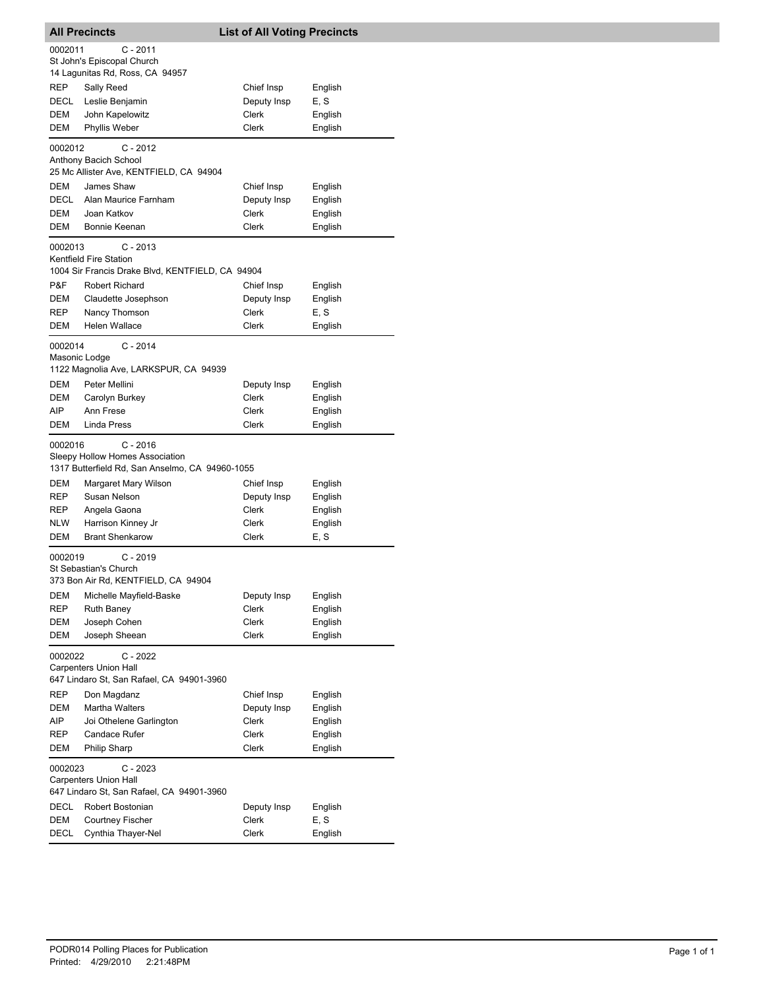| <b>All Precincts</b>     |                                                                                                  | <b>List of All Voting Precincts</b> |                    |  |
|--------------------------|--------------------------------------------------------------------------------------------------|-------------------------------------|--------------------|--|
| 0002011                  | $C - 2011$<br>St John's Episcopal Church<br>14 Lagunitas Rd, Ross, CA 94957                      |                                     |                    |  |
| REP                      | Sally Reed                                                                                       | Chief Insp                          | English            |  |
| DECL                     | Leslie Benjamin                                                                                  | Deputy Insp                         | E, S               |  |
| DEM                      | John Kapelowitz                                                                                  | Clerk                               | English            |  |
| DEM                      | Phyllis Weber                                                                                    | Clerk                               | English            |  |
| 0002012                  | $C - 2012$<br>Anthony Bacich School                                                              |                                     |                    |  |
|                          | 25 Mc Allister Ave, KENTFIELD, CA 94904<br>James Shaw                                            |                                     |                    |  |
| DEM<br>DECL              |                                                                                                  | Chief Insp                          | English            |  |
| DEM                      | Alan Maurice Farnham<br>Joan Katkov                                                              | Deputy Insp<br>Clerk                | English<br>English |  |
| DEM                      | Bonnie Keenan                                                                                    | Clerk                               | English            |  |
| 0002013                  | $C - 2013$<br>Kentfield Fire Station                                                             |                                     |                    |  |
|                          | 1004 Sir Francis Drake Blvd, KENTFIELD, CA 94904                                                 |                                     |                    |  |
| P&F                      | Robert Richard                                                                                   | Chief Insp                          | English            |  |
| DEM                      | Claudette Josephson                                                                              | Deputy Insp                         | English            |  |
| REP                      | Nancy Thomson                                                                                    | Clerk                               | E, S               |  |
| DEM                      | Helen Wallace                                                                                    | Clerk                               | English            |  |
| 0002014<br>Masonic Lodge | $C - 2014$<br>1122 Magnolia Ave, LARKSPUR, CA 94939                                              |                                     |                    |  |
| DEM                      | Peter Mellini                                                                                    | Deputy Insp                         | English            |  |
| DEM                      | Carolyn Burkey                                                                                   | Clerk                               | English            |  |
| AIP                      | Ann Frese                                                                                        | Clerk                               | English            |  |
| DEM                      | Linda Press                                                                                      | Clerk                               | English            |  |
| 0002016                  | $C - 2016$<br>Sleepy Hollow Homes Association<br>1317 Butterfield Rd, San Anselmo, CA 94960-1055 |                                     |                    |  |
| DEM                      | Margaret Mary Wilson                                                                             | Chief Insp                          | English            |  |
| REP                      | Susan Nelson                                                                                     | Deputy Insp                         | English            |  |
| REP                      | Angela Gaona                                                                                     | Clerk                               | English            |  |
| NLW                      | Harrison Kinney Jr                                                                               | Clerk                               | English            |  |
| <b>DEM</b>               | <b>Brant Shenkarow</b>                                                                           | Clerk                               | E, S               |  |
| 0002019                  | $C - 2019$<br>St Sebastian's Church<br>373 Bon Air Rd, KENTFIELD, CA 94904                       |                                     |                    |  |
| DEM                      | Michelle Mayfield-Baske                                                                          | Deputy Insp                         | English            |  |
| REP                      | Ruth Baney                                                                                       | Clerk                               | English            |  |
| DEM                      | Joseph Cohen                                                                                     | Clerk                               | English            |  |
| <b>DEM</b>               | Joseph Sheean                                                                                    | Clerk                               | English            |  |
| 0002022                  | $C - 2022$<br><b>Carpenters Union Hall</b>                                                       |                                     |                    |  |
|                          | 647 Lindaro St, San Rafael, CA 94901-3960                                                        |                                     |                    |  |
| REP                      | Don Magdanz                                                                                      | Chief Insp                          | English            |  |
| DEM                      | <b>Martha Walters</b>                                                                            | Deputy Insp                         | English            |  |
| AIP                      | Joi Othelene Garlington                                                                          | Clerk                               | English            |  |
| REP                      | Candace Rufer                                                                                    | Clerk                               | English            |  |
| DEM                      | Philip Sharp                                                                                     | Clerk                               | English            |  |
| 0002023                  | $C - 2023$<br><b>Carpenters Union Hall</b><br>647 Lindaro St, San Rafael, CA 94901-3960          |                                     |                    |  |
| DECL                     | Robert Bostonian                                                                                 | Deputy Insp                         | English            |  |
| DEM                      | <b>Courtney Fischer</b>                                                                          | Clerk                               | E, S               |  |
| <b>DECL</b>              | Cynthia Thayer-Nel                                                                               | Clerk                               | English            |  |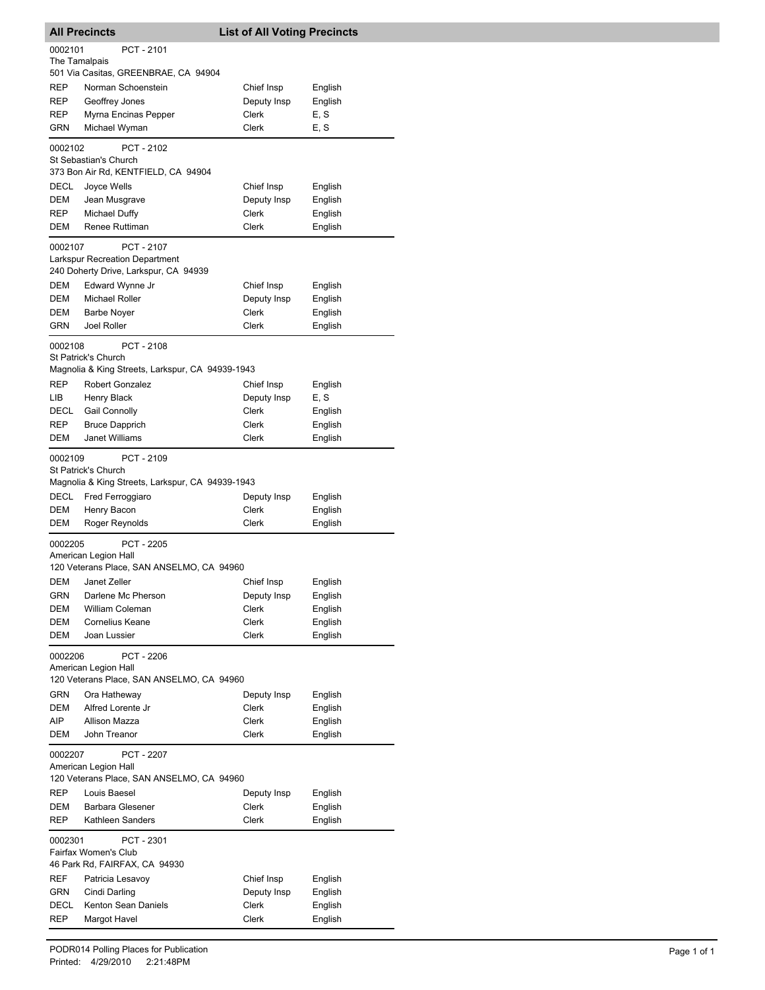|                   | <b>All Precincts</b>                                                                  | <b>List of All Voting Precincts</b> |                    |
|-------------------|---------------------------------------------------------------------------------------|-------------------------------------|--------------------|
| 0002101           | PCT - 2101                                                                            |                                     |                    |
| The Tamalpais     |                                                                                       |                                     |                    |
|                   | 501 Via Casitas, GREENBRAE, CA 94904                                                  |                                     |                    |
| REP               | Norman Schoenstein                                                                    | Chief Insp                          | English            |
| <b>REP</b>        | Geoffrey Jones                                                                        | Deputy Insp                         | English            |
| REP<br>GRN        | Myrna Encinas Pepper                                                                  | Clerk<br>Clerk                      | E, S               |
|                   | Michael Wyman                                                                         |                                     | E, S               |
| 0002102           | PCT - 2102<br>St Sebastian's Church<br>373 Bon Air Rd, KENTFIELD, CA 94904            |                                     |                    |
| DECL              | Joyce Wells                                                                           | Chief Insp                          | English            |
| DEM               | Jean Musgrave                                                                         | Deputy Insp                         | English            |
| REP               | <b>Michael Duffy</b>                                                                  | Clerk                               | English            |
| DEM               | Renee Ruttiman                                                                        | Clerk                               | English            |
| 0002107           | PCT - 2107<br>Larkspur Recreation Department<br>240 Doherty Drive, Larkspur, CA 94939 |                                     |                    |
| DEM               | Edward Wynne Jr                                                                       | Chief Insp                          | English            |
| <b>DEM</b>        | Michael Roller                                                                        | Deputy Insp                         | English            |
| DEM               | <b>Barbe Noyer</b>                                                                    | Clerk                               | English            |
| <b>GRN</b>        | <b>Joel Roller</b>                                                                    | Clerk                               | English            |
| 0002108           | PCT-2108<br>St Patrick's Church                                                       |                                     |                    |
|                   | Magnolia & King Streets, Larkspur, CA 94939-1943                                      |                                     |                    |
| <b>REP</b>        | <b>Robert Gonzalez</b>                                                                | Chief Insp                          | English            |
| LIB               | Henry Black                                                                           | Deputy Insp                         | E, S               |
| DECL              | Gail Connolly                                                                         | Clerk                               | English            |
| REP               | <b>Bruce Dapprich</b>                                                                 | Clerk                               | English            |
| DEM               | Janet Williams                                                                        | Clerk                               | English            |
| 0002109           | PCT - 2109<br>St Patrick's Church                                                     |                                     |                    |
|                   | Magnolia & King Streets, Larkspur, CA 94939-1943                                      |                                     |                    |
| DECL<br>DEM       | Fred Ferroggiaro                                                                      | Deputy Insp<br>Clerk                | English            |
| DEM               | Henry Bacon<br>Roger Reynolds                                                         | Clerk                               | English<br>English |
|                   |                                                                                       |                                     |                    |
| 0002205           | PCT - 2205<br>American Legion Hall<br>120 Veterans Place, SAN ANSELMO, CA 94960       |                                     |                    |
| DEM               | Janet Zeller                                                                          | Chief Insp                          | English            |
| GRN               | Darlene Mc Pherson                                                                    | Deputy Insp                         | English            |
| DEM               | William Coleman                                                                       | Clerk                               | English            |
| DEM               | <b>Cornelius Keane</b>                                                                | Clerk                               | English            |
| DEM               | Joan Lussier                                                                          | Clerk                               | English            |
| 0002206           | PCT - 2206<br>American Legion Hall<br>120 Veterans Place, SAN ANSELMO, CA 94960       |                                     |                    |
| <b>GRN</b>        | Ora Hatheway                                                                          | Deputy Insp                         | English            |
| DEM               | Alfred Lorente Jr                                                                     | Clerk                               | English            |
| AIP               | <b>Allison Mazza</b>                                                                  | Clerk                               | English            |
| DEM               | John Treanor                                                                          | Clerk                               | English            |
| 0002207           | PCT - 2207<br>American Legion Hall                                                    |                                     |                    |
|                   | 120 Veterans Place, SAN ANSELMO, CA 94960                                             |                                     |                    |
| REP               | Louis Baesel                                                                          | Deputy Insp                         | English            |
| DEM<br><b>REP</b> | <b>Barbara Glesener</b><br>Kathleen Sanders                                           | Clerk<br>Clerk                      | English<br>English |
| 0002301           | PCT - 2301                                                                            |                                     |                    |
|                   | Fairfax Women's Club                                                                  |                                     |                    |
|                   | 46 Park Rd, FAIRFAX, CA 94930                                                         |                                     |                    |
| REF               | Patricia Lesavoy                                                                      | Chief Insp                          | English            |
| GRN               | Cindi Darling                                                                         | Deputy Insp                         | English            |
| DECL              | Kenton Sean Daniels                                                                   | Clerk                               | English            |
| <b>REP</b>        | Margot Havel                                                                          | Clerk                               | English            |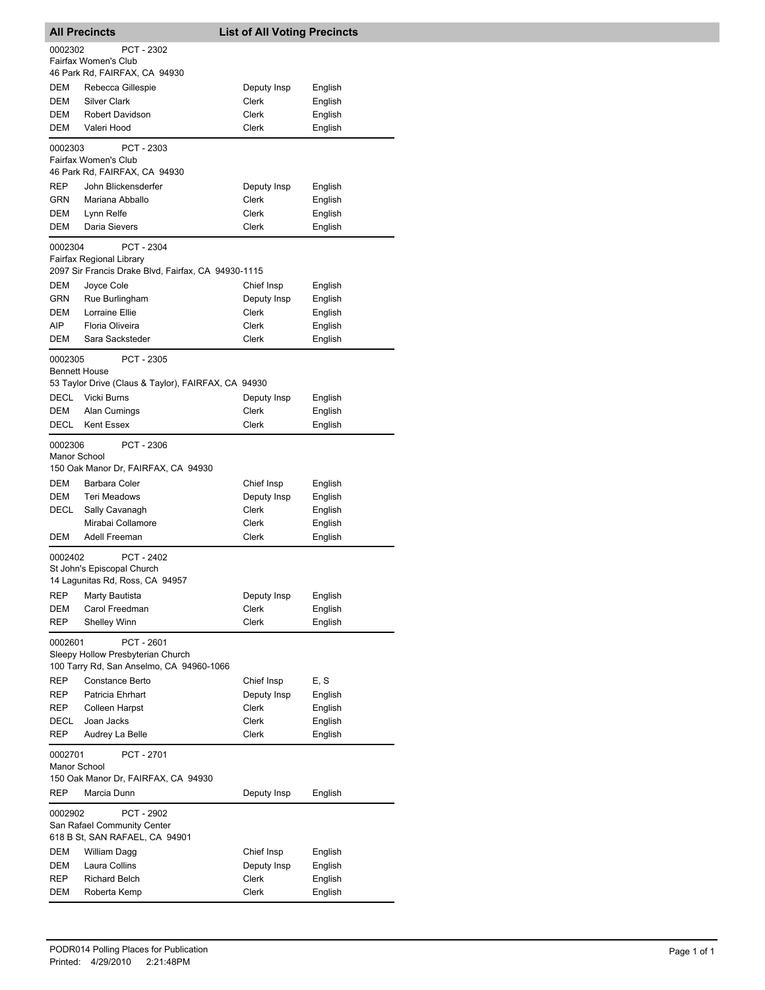| <b>All Precincts</b>            |                                                                                                    | <b>List of All Voting Precincts</b> |                    |  |
|---------------------------------|----------------------------------------------------------------------------------------------------|-------------------------------------|--------------------|--|
| 0002302                         | PCT - 2302<br>Fairfax Women's Club                                                                 |                                     |                    |  |
|                                 | 46 Park Rd, FAIRFAX, CA 94930                                                                      |                                     |                    |  |
| DEM<br>DEM                      | Rebecca Gillespie<br><b>Silver Clark</b>                                                           | Deputy Insp<br>Clerk                | English<br>English |  |
| DEM                             | Robert Davidson                                                                                    | Clerk                               | English            |  |
| DEM                             | Valeri Hood                                                                                        | Clerk                               | English            |  |
| 0002303                         | PCT - 2303                                                                                         |                                     |                    |  |
|                                 | Fairfax Women's Club<br>46 Park Rd, FAIRFAX, CA 94930                                              |                                     |                    |  |
| REP                             | John Blickensderfer                                                                                | Deputy Insp                         | English            |  |
| GRN                             | Mariana Abballo                                                                                    | Clerk                               | English            |  |
| DEM<br>DEM                      | Lynn Relfe<br>Daria Sievers                                                                        | Clerk<br>Clerk                      | English<br>English |  |
|                                 |                                                                                                    |                                     |                    |  |
| 0002304                         | PCT - 2304<br>Fairfax Regional Library<br>2097 Sir Francis Drake Blvd, Fairfax, CA 94930-1115      |                                     |                    |  |
| DEM                             | Joyce Cole                                                                                         | Chief Insp                          | English            |  |
| GRN                             | Rue Burlingham                                                                                     | Deputy Insp                         | English            |  |
| DEM                             | Lorraine Ellie                                                                                     | Clerk                               | English            |  |
| AIP.                            | Floria Oliveira                                                                                    | Clerk                               | English            |  |
| DEM                             | Sara Sacksteder                                                                                    | Clerk                               | English            |  |
| 0002305<br><b>Bennett House</b> | PCT - 2305                                                                                         |                                     |                    |  |
|                                 | 53 Taylor Drive (Claus & Taylor), FAIRFAX, CA 94930                                                |                                     |                    |  |
| DECL                            | Vicki Burns                                                                                        | Deputy Insp                         | English            |  |
| DEM                             | Alan Cumings                                                                                       | Clerk                               | English            |  |
| DECL                            | <b>Kent Essex</b>                                                                                  | Clerk                               | English            |  |
| 0002306<br>Manor School         | PCT - 2306<br>150 Oak Manor Dr, FAIRFAX, CA 94930                                                  |                                     |                    |  |
| DEM                             | Barbara Coler                                                                                      | Chief Insp                          | English            |  |
| <b>DEM</b>                      | Teri Meadows                                                                                       | Deputy Insp                         | English            |  |
| DECL                            | Sally Cavanagh                                                                                     | <b>Clerk</b>                        | English            |  |
|                                 | Mirabai Collamore                                                                                  | Clerk                               | English            |  |
| DEM                             | Adell Freeman                                                                                      | Clerk                               | English            |  |
| 0002402                         | PCT - 2402<br>St John's Episcopal Church                                                           |                                     |                    |  |
|                                 | 14 Lagunitas Rd, Ross, CA 94957                                                                    |                                     |                    |  |
| REP                             | Marty Bautista                                                                                     | Deputy Insp                         | English            |  |
| DEM                             | Carol Freedman                                                                                     | Clerk                               | English            |  |
| REP                             | <b>Shelley Winn</b>                                                                                | Clerk                               | English            |  |
| 0002601                         | <b>PCT - 2601</b><br>Sleepy Hollow Presbyterian Church<br>100 Tarry Rd, San Anselmo, CA 94960-1066 |                                     |                    |  |
| REP                             | Constance Berto                                                                                    | Chief Insp                          | E, S               |  |
| REP                             | Patricia Ehrhart                                                                                   | Deputy Insp                         | English            |  |
| REP                             | <b>Colleen Harpst</b>                                                                              | Clerk                               | English            |  |
| DECL                            | Joan Jacks                                                                                         | Clerk                               | English            |  |
| REP                             | Audrey La Belle                                                                                    | Clerk                               | English            |  |
| 0002701<br>Manor School         | PCT - 2701                                                                                         |                                     |                    |  |
| REP                             | 150 Oak Manor Dr, FAIRFAX, CA 94930<br>Marcia Dunn                                                 | Deputy Insp                         | English            |  |
| 0002902                         | PCT - 2902                                                                                         |                                     |                    |  |
|                                 | San Rafael Community Center<br>618 B St, SAN RAFAEL, CA 94901                                      |                                     |                    |  |
| DEM                             | William Dagg                                                                                       | Chief Insp                          | English            |  |
| DEM                             | Laura Collins                                                                                      | Deputy Insp                         | English            |  |
| REP                             | <b>Richard Belch</b>                                                                               | Clerk                               | English            |  |
| DEM                             | Roberta Kemp                                                                                       | Clerk                               | English            |  |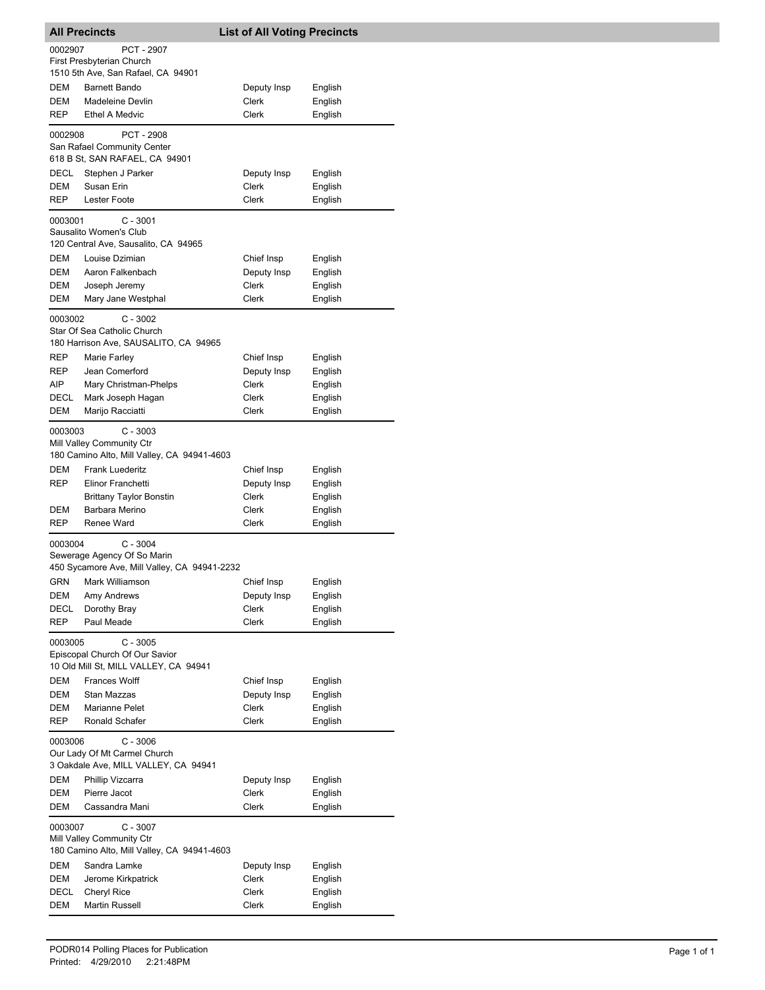| 0002907<br>PCT - 2907<br>First Presbyterian Church<br>1510 5th Ave, San Rafael, CA 94901<br><b>DEM</b><br><b>Barnett Bando</b><br>Deputy Insp<br>English<br>Clerk<br>DEM<br>English<br>Madeleine Devlin<br><b>Clerk</b><br>REP<br><b>Ethel A Medvic</b><br>English<br>PCT - 2908<br>0002908<br>San Rafael Community Center<br>618 B St, SAN RAFAEL, CA 94901<br>DECL<br>Stephen J Parker<br>Deputy Insp<br>English<br>DEM<br>Susan Erin<br>Clerk<br>English<br>Lester Foote<br>REP<br><b>Clerk</b><br>English<br>0003001<br>$C - 3001$<br>Sausalito Women's Club<br>120 Central Ave, Sausalito, CA 94965<br>DEM<br>Louise Dzimian<br>Chief Insp<br>English<br>DEM<br>Deputy Insp<br>Aaron Falkenbach<br>English<br>DEM<br>Clerk<br>English<br>Joseph Jeremy<br>DEM<br>Mary Jane Westphal<br>Clerk<br>English<br>$C - 3002$<br>0003002<br>Star Of Sea Catholic Church<br>180 Harrison Ave, SAUSALITO, CA 94965<br>REP<br>Chief Insp<br>Marie Farley<br>English<br>REP<br>Jean Comerford<br>Deputy Insp<br>English<br>AIP<br>Mary Christman-Phelps<br>Clerk<br>English<br>DECL<br>Mark Joseph Hagan<br>Clerk<br>English<br>DEM<br>Marijo Racciatti<br>Clerk<br>English<br>0003003<br>$C - 3003$<br>Mill Valley Community Ctr<br>180 Camino Alto, Mill Valley, CA 94941-4603<br>DEM<br><b>Frank Luederitz</b><br>Chief Insp<br>English<br>REP<br>Elinor Franchetti<br>Deputy Insp<br>English<br><b>Brittany Taylor Bonstin</b><br>Clerk<br>English<br>Barbara Merino<br>Clerk<br>English<br>DEM<br>Renee Ward<br><b>REP</b><br>Clerk<br>English<br>$C - 3004$<br>0003004<br>Sewerage Agency Of So Marin<br>450 Sycamore Ave, Mill Valley, CA 94941-2232<br>GRN Mark Williamson<br>English<br>Chief Insp<br>Deputy Insp<br>DEM<br>Amy Andrews<br>English<br>DECL<br>Dorothy Bray<br><b>Clerk</b><br>English<br><b>REP</b><br>Paul Meade<br>Clerk<br>English<br>$C - 3005$<br>0003005<br>Episcopal Church Of Our Savior<br>10 Old Mill St, MILL VALLEY, CA 94941<br>DEM<br><b>Frances Wolff</b><br>Chief Insp<br>English<br>DEM<br>Deputy Insp<br>English<br>Stan Mazzas<br>Clerk<br>DEM<br><b>Marianne Pelet</b><br>English<br>REP<br>Ronald Schafer<br>Clerk<br>English<br>0003006<br>$C - 3006$<br>Our Lady Of Mt Carmel Church<br>3 Oakdale Ave, MILL VALLEY, CA 94941<br>DEM<br>Phillip Vizcarra<br>Deputy Insp<br>English<br>DEM<br>Pierre Jacot<br>Clerk<br>English<br>DEM<br>Cassandra Mani<br>Clerk<br>English<br>0003007<br>C - 3007<br>Mill Valley Community Ctr<br>180 Camino Alto, Mill Valley, CA 94941-4603<br>DEM<br>Sandra Lamke<br>Deputy Insp<br>English<br>DEM<br>Jerome Kirkpatrick<br>Clerk<br>English<br>DECL<br>Cheryl Rice<br>Clerk<br>English<br>DEM<br><b>Martin Russell</b><br>Clerk<br>English | <b>All Precincts</b> |  | <b>List of All Voting Precincts</b> |  |  |
|------------------------------------------------------------------------------------------------------------------------------------------------------------------------------------------------------------------------------------------------------------------------------------------------------------------------------------------------------------------------------------------------------------------------------------------------------------------------------------------------------------------------------------------------------------------------------------------------------------------------------------------------------------------------------------------------------------------------------------------------------------------------------------------------------------------------------------------------------------------------------------------------------------------------------------------------------------------------------------------------------------------------------------------------------------------------------------------------------------------------------------------------------------------------------------------------------------------------------------------------------------------------------------------------------------------------------------------------------------------------------------------------------------------------------------------------------------------------------------------------------------------------------------------------------------------------------------------------------------------------------------------------------------------------------------------------------------------------------------------------------------------------------------------------------------------------------------------------------------------------------------------------------------------------------------------------------------------------------------------------------------------------------------------------------------------------------------------------------------------------------------------------------------------------------------------------------------------------------------------------------------------------------------------------------------------------------------------------------------------------------------------------------------------------------------------------------------------------------------------------------------------------------------------------------------------------------------------------------------------------------------------------------------------------------------------------------------------------|----------------------|--|-------------------------------------|--|--|
|                                                                                                                                                                                                                                                                                                                                                                                                                                                                                                                                                                                                                                                                                                                                                                                                                                                                                                                                                                                                                                                                                                                                                                                                                                                                                                                                                                                                                                                                                                                                                                                                                                                                                                                                                                                                                                                                                                                                                                                                                                                                                                                                                                                                                                                                                                                                                                                                                                                                                                                                                                                                                                                                                                                        |                      |  |                                     |  |  |
|                                                                                                                                                                                                                                                                                                                                                                                                                                                                                                                                                                                                                                                                                                                                                                                                                                                                                                                                                                                                                                                                                                                                                                                                                                                                                                                                                                                                                                                                                                                                                                                                                                                                                                                                                                                                                                                                                                                                                                                                                                                                                                                                                                                                                                                                                                                                                                                                                                                                                                                                                                                                                                                                                                                        |                      |  |                                     |  |  |
|                                                                                                                                                                                                                                                                                                                                                                                                                                                                                                                                                                                                                                                                                                                                                                                                                                                                                                                                                                                                                                                                                                                                                                                                                                                                                                                                                                                                                                                                                                                                                                                                                                                                                                                                                                                                                                                                                                                                                                                                                                                                                                                                                                                                                                                                                                                                                                                                                                                                                                                                                                                                                                                                                                                        |                      |  |                                     |  |  |
|                                                                                                                                                                                                                                                                                                                                                                                                                                                                                                                                                                                                                                                                                                                                                                                                                                                                                                                                                                                                                                                                                                                                                                                                                                                                                                                                                                                                                                                                                                                                                                                                                                                                                                                                                                                                                                                                                                                                                                                                                                                                                                                                                                                                                                                                                                                                                                                                                                                                                                                                                                                                                                                                                                                        |                      |  |                                     |  |  |
|                                                                                                                                                                                                                                                                                                                                                                                                                                                                                                                                                                                                                                                                                                                                                                                                                                                                                                                                                                                                                                                                                                                                                                                                                                                                                                                                                                                                                                                                                                                                                                                                                                                                                                                                                                                                                                                                                                                                                                                                                                                                                                                                                                                                                                                                                                                                                                                                                                                                                                                                                                                                                                                                                                                        |                      |  |                                     |  |  |
|                                                                                                                                                                                                                                                                                                                                                                                                                                                                                                                                                                                                                                                                                                                                                                                                                                                                                                                                                                                                                                                                                                                                                                                                                                                                                                                                                                                                                                                                                                                                                                                                                                                                                                                                                                                                                                                                                                                                                                                                                                                                                                                                                                                                                                                                                                                                                                                                                                                                                                                                                                                                                                                                                                                        |                      |  |                                     |  |  |
|                                                                                                                                                                                                                                                                                                                                                                                                                                                                                                                                                                                                                                                                                                                                                                                                                                                                                                                                                                                                                                                                                                                                                                                                                                                                                                                                                                                                                                                                                                                                                                                                                                                                                                                                                                                                                                                                                                                                                                                                                                                                                                                                                                                                                                                                                                                                                                                                                                                                                                                                                                                                                                                                                                                        |                      |  |                                     |  |  |
|                                                                                                                                                                                                                                                                                                                                                                                                                                                                                                                                                                                                                                                                                                                                                                                                                                                                                                                                                                                                                                                                                                                                                                                                                                                                                                                                                                                                                                                                                                                                                                                                                                                                                                                                                                                                                                                                                                                                                                                                                                                                                                                                                                                                                                                                                                                                                                                                                                                                                                                                                                                                                                                                                                                        |                      |  |                                     |  |  |
|                                                                                                                                                                                                                                                                                                                                                                                                                                                                                                                                                                                                                                                                                                                                                                                                                                                                                                                                                                                                                                                                                                                                                                                                                                                                                                                                                                                                                                                                                                                                                                                                                                                                                                                                                                                                                                                                                                                                                                                                                                                                                                                                                                                                                                                                                                                                                                                                                                                                                                                                                                                                                                                                                                                        |                      |  |                                     |  |  |
|                                                                                                                                                                                                                                                                                                                                                                                                                                                                                                                                                                                                                                                                                                                                                                                                                                                                                                                                                                                                                                                                                                                                                                                                                                                                                                                                                                                                                                                                                                                                                                                                                                                                                                                                                                                                                                                                                                                                                                                                                                                                                                                                                                                                                                                                                                                                                                                                                                                                                                                                                                                                                                                                                                                        |                      |  |                                     |  |  |
|                                                                                                                                                                                                                                                                                                                                                                                                                                                                                                                                                                                                                                                                                                                                                                                                                                                                                                                                                                                                                                                                                                                                                                                                                                                                                                                                                                                                                                                                                                                                                                                                                                                                                                                                                                                                                                                                                                                                                                                                                                                                                                                                                                                                                                                                                                                                                                                                                                                                                                                                                                                                                                                                                                                        |                      |  |                                     |  |  |
|                                                                                                                                                                                                                                                                                                                                                                                                                                                                                                                                                                                                                                                                                                                                                                                                                                                                                                                                                                                                                                                                                                                                                                                                                                                                                                                                                                                                                                                                                                                                                                                                                                                                                                                                                                                                                                                                                                                                                                                                                                                                                                                                                                                                                                                                                                                                                                                                                                                                                                                                                                                                                                                                                                                        |                      |  |                                     |  |  |
|                                                                                                                                                                                                                                                                                                                                                                                                                                                                                                                                                                                                                                                                                                                                                                                                                                                                                                                                                                                                                                                                                                                                                                                                                                                                                                                                                                                                                                                                                                                                                                                                                                                                                                                                                                                                                                                                                                                                                                                                                                                                                                                                                                                                                                                                                                                                                                                                                                                                                                                                                                                                                                                                                                                        |                      |  |                                     |  |  |
|                                                                                                                                                                                                                                                                                                                                                                                                                                                                                                                                                                                                                                                                                                                                                                                                                                                                                                                                                                                                                                                                                                                                                                                                                                                                                                                                                                                                                                                                                                                                                                                                                                                                                                                                                                                                                                                                                                                                                                                                                                                                                                                                                                                                                                                                                                                                                                                                                                                                                                                                                                                                                                                                                                                        |                      |  |                                     |  |  |
|                                                                                                                                                                                                                                                                                                                                                                                                                                                                                                                                                                                                                                                                                                                                                                                                                                                                                                                                                                                                                                                                                                                                                                                                                                                                                                                                                                                                                                                                                                                                                                                                                                                                                                                                                                                                                                                                                                                                                                                                                                                                                                                                                                                                                                                                                                                                                                                                                                                                                                                                                                                                                                                                                                                        |                      |  |                                     |  |  |
|                                                                                                                                                                                                                                                                                                                                                                                                                                                                                                                                                                                                                                                                                                                                                                                                                                                                                                                                                                                                                                                                                                                                                                                                                                                                                                                                                                                                                                                                                                                                                                                                                                                                                                                                                                                                                                                                                                                                                                                                                                                                                                                                                                                                                                                                                                                                                                                                                                                                                                                                                                                                                                                                                                                        |                      |  |                                     |  |  |
|                                                                                                                                                                                                                                                                                                                                                                                                                                                                                                                                                                                                                                                                                                                                                                                                                                                                                                                                                                                                                                                                                                                                                                                                                                                                                                                                                                                                                                                                                                                                                                                                                                                                                                                                                                                                                                                                                                                                                                                                                                                                                                                                                                                                                                                                                                                                                                                                                                                                                                                                                                                                                                                                                                                        |                      |  |                                     |  |  |
|                                                                                                                                                                                                                                                                                                                                                                                                                                                                                                                                                                                                                                                                                                                                                                                                                                                                                                                                                                                                                                                                                                                                                                                                                                                                                                                                                                                                                                                                                                                                                                                                                                                                                                                                                                                                                                                                                                                                                                                                                                                                                                                                                                                                                                                                                                                                                                                                                                                                                                                                                                                                                                                                                                                        |                      |  |                                     |  |  |
|                                                                                                                                                                                                                                                                                                                                                                                                                                                                                                                                                                                                                                                                                                                                                                                                                                                                                                                                                                                                                                                                                                                                                                                                                                                                                                                                                                                                                                                                                                                                                                                                                                                                                                                                                                                                                                                                                                                                                                                                                                                                                                                                                                                                                                                                                                                                                                                                                                                                                                                                                                                                                                                                                                                        |                      |  |                                     |  |  |
|                                                                                                                                                                                                                                                                                                                                                                                                                                                                                                                                                                                                                                                                                                                                                                                                                                                                                                                                                                                                                                                                                                                                                                                                                                                                                                                                                                                                                                                                                                                                                                                                                                                                                                                                                                                                                                                                                                                                                                                                                                                                                                                                                                                                                                                                                                                                                                                                                                                                                                                                                                                                                                                                                                                        |                      |  |                                     |  |  |
|                                                                                                                                                                                                                                                                                                                                                                                                                                                                                                                                                                                                                                                                                                                                                                                                                                                                                                                                                                                                                                                                                                                                                                                                                                                                                                                                                                                                                                                                                                                                                                                                                                                                                                                                                                                                                                                                                                                                                                                                                                                                                                                                                                                                                                                                                                                                                                                                                                                                                                                                                                                                                                                                                                                        |                      |  |                                     |  |  |
|                                                                                                                                                                                                                                                                                                                                                                                                                                                                                                                                                                                                                                                                                                                                                                                                                                                                                                                                                                                                                                                                                                                                                                                                                                                                                                                                                                                                                                                                                                                                                                                                                                                                                                                                                                                                                                                                                                                                                                                                                                                                                                                                                                                                                                                                                                                                                                                                                                                                                                                                                                                                                                                                                                                        |                      |  |                                     |  |  |
|                                                                                                                                                                                                                                                                                                                                                                                                                                                                                                                                                                                                                                                                                                                                                                                                                                                                                                                                                                                                                                                                                                                                                                                                                                                                                                                                                                                                                                                                                                                                                                                                                                                                                                                                                                                                                                                                                                                                                                                                                                                                                                                                                                                                                                                                                                                                                                                                                                                                                                                                                                                                                                                                                                                        |                      |  |                                     |  |  |
|                                                                                                                                                                                                                                                                                                                                                                                                                                                                                                                                                                                                                                                                                                                                                                                                                                                                                                                                                                                                                                                                                                                                                                                                                                                                                                                                                                                                                                                                                                                                                                                                                                                                                                                                                                                                                                                                                                                                                                                                                                                                                                                                                                                                                                                                                                                                                                                                                                                                                                                                                                                                                                                                                                                        |                      |  |                                     |  |  |
|                                                                                                                                                                                                                                                                                                                                                                                                                                                                                                                                                                                                                                                                                                                                                                                                                                                                                                                                                                                                                                                                                                                                                                                                                                                                                                                                                                                                                                                                                                                                                                                                                                                                                                                                                                                                                                                                                                                                                                                                                                                                                                                                                                                                                                                                                                                                                                                                                                                                                                                                                                                                                                                                                                                        |                      |  |                                     |  |  |
|                                                                                                                                                                                                                                                                                                                                                                                                                                                                                                                                                                                                                                                                                                                                                                                                                                                                                                                                                                                                                                                                                                                                                                                                                                                                                                                                                                                                                                                                                                                                                                                                                                                                                                                                                                                                                                                                                                                                                                                                                                                                                                                                                                                                                                                                                                                                                                                                                                                                                                                                                                                                                                                                                                                        |                      |  |                                     |  |  |
|                                                                                                                                                                                                                                                                                                                                                                                                                                                                                                                                                                                                                                                                                                                                                                                                                                                                                                                                                                                                                                                                                                                                                                                                                                                                                                                                                                                                                                                                                                                                                                                                                                                                                                                                                                                                                                                                                                                                                                                                                                                                                                                                                                                                                                                                                                                                                                                                                                                                                                                                                                                                                                                                                                                        |                      |  |                                     |  |  |
|                                                                                                                                                                                                                                                                                                                                                                                                                                                                                                                                                                                                                                                                                                                                                                                                                                                                                                                                                                                                                                                                                                                                                                                                                                                                                                                                                                                                                                                                                                                                                                                                                                                                                                                                                                                                                                                                                                                                                                                                                                                                                                                                                                                                                                                                                                                                                                                                                                                                                                                                                                                                                                                                                                                        |                      |  |                                     |  |  |
|                                                                                                                                                                                                                                                                                                                                                                                                                                                                                                                                                                                                                                                                                                                                                                                                                                                                                                                                                                                                                                                                                                                                                                                                                                                                                                                                                                                                                                                                                                                                                                                                                                                                                                                                                                                                                                                                                                                                                                                                                                                                                                                                                                                                                                                                                                                                                                                                                                                                                                                                                                                                                                                                                                                        |                      |  |                                     |  |  |
|                                                                                                                                                                                                                                                                                                                                                                                                                                                                                                                                                                                                                                                                                                                                                                                                                                                                                                                                                                                                                                                                                                                                                                                                                                                                                                                                                                                                                                                                                                                                                                                                                                                                                                                                                                                                                                                                                                                                                                                                                                                                                                                                                                                                                                                                                                                                                                                                                                                                                                                                                                                                                                                                                                                        |                      |  |                                     |  |  |
|                                                                                                                                                                                                                                                                                                                                                                                                                                                                                                                                                                                                                                                                                                                                                                                                                                                                                                                                                                                                                                                                                                                                                                                                                                                                                                                                                                                                                                                                                                                                                                                                                                                                                                                                                                                                                                                                                                                                                                                                                                                                                                                                                                                                                                                                                                                                                                                                                                                                                                                                                                                                                                                                                                                        |                      |  |                                     |  |  |
|                                                                                                                                                                                                                                                                                                                                                                                                                                                                                                                                                                                                                                                                                                                                                                                                                                                                                                                                                                                                                                                                                                                                                                                                                                                                                                                                                                                                                                                                                                                                                                                                                                                                                                                                                                                                                                                                                                                                                                                                                                                                                                                                                                                                                                                                                                                                                                                                                                                                                                                                                                                                                                                                                                                        |                      |  |                                     |  |  |
|                                                                                                                                                                                                                                                                                                                                                                                                                                                                                                                                                                                                                                                                                                                                                                                                                                                                                                                                                                                                                                                                                                                                                                                                                                                                                                                                                                                                                                                                                                                                                                                                                                                                                                                                                                                                                                                                                                                                                                                                                                                                                                                                                                                                                                                                                                                                                                                                                                                                                                                                                                                                                                                                                                                        |                      |  |                                     |  |  |
|                                                                                                                                                                                                                                                                                                                                                                                                                                                                                                                                                                                                                                                                                                                                                                                                                                                                                                                                                                                                                                                                                                                                                                                                                                                                                                                                                                                                                                                                                                                                                                                                                                                                                                                                                                                                                                                                                                                                                                                                                                                                                                                                                                                                                                                                                                                                                                                                                                                                                                                                                                                                                                                                                                                        |                      |  |                                     |  |  |
|                                                                                                                                                                                                                                                                                                                                                                                                                                                                                                                                                                                                                                                                                                                                                                                                                                                                                                                                                                                                                                                                                                                                                                                                                                                                                                                                                                                                                                                                                                                                                                                                                                                                                                                                                                                                                                                                                                                                                                                                                                                                                                                                                                                                                                                                                                                                                                                                                                                                                                                                                                                                                                                                                                                        |                      |  |                                     |  |  |
|                                                                                                                                                                                                                                                                                                                                                                                                                                                                                                                                                                                                                                                                                                                                                                                                                                                                                                                                                                                                                                                                                                                                                                                                                                                                                                                                                                                                                                                                                                                                                                                                                                                                                                                                                                                                                                                                                                                                                                                                                                                                                                                                                                                                                                                                                                                                                                                                                                                                                                                                                                                                                                                                                                                        |                      |  |                                     |  |  |
|                                                                                                                                                                                                                                                                                                                                                                                                                                                                                                                                                                                                                                                                                                                                                                                                                                                                                                                                                                                                                                                                                                                                                                                                                                                                                                                                                                                                                                                                                                                                                                                                                                                                                                                                                                                                                                                                                                                                                                                                                                                                                                                                                                                                                                                                                                                                                                                                                                                                                                                                                                                                                                                                                                                        |                      |  |                                     |  |  |
|                                                                                                                                                                                                                                                                                                                                                                                                                                                                                                                                                                                                                                                                                                                                                                                                                                                                                                                                                                                                                                                                                                                                                                                                                                                                                                                                                                                                                                                                                                                                                                                                                                                                                                                                                                                                                                                                                                                                                                                                                                                                                                                                                                                                                                                                                                                                                                                                                                                                                                                                                                                                                                                                                                                        |                      |  |                                     |  |  |
|                                                                                                                                                                                                                                                                                                                                                                                                                                                                                                                                                                                                                                                                                                                                                                                                                                                                                                                                                                                                                                                                                                                                                                                                                                                                                                                                                                                                                                                                                                                                                                                                                                                                                                                                                                                                                                                                                                                                                                                                                                                                                                                                                                                                                                                                                                                                                                                                                                                                                                                                                                                                                                                                                                                        |                      |  |                                     |  |  |
|                                                                                                                                                                                                                                                                                                                                                                                                                                                                                                                                                                                                                                                                                                                                                                                                                                                                                                                                                                                                                                                                                                                                                                                                                                                                                                                                                                                                                                                                                                                                                                                                                                                                                                                                                                                                                                                                                                                                                                                                                                                                                                                                                                                                                                                                                                                                                                                                                                                                                                                                                                                                                                                                                                                        |                      |  |                                     |  |  |
|                                                                                                                                                                                                                                                                                                                                                                                                                                                                                                                                                                                                                                                                                                                                                                                                                                                                                                                                                                                                                                                                                                                                                                                                                                                                                                                                                                                                                                                                                                                                                                                                                                                                                                                                                                                                                                                                                                                                                                                                                                                                                                                                                                                                                                                                                                                                                                                                                                                                                                                                                                                                                                                                                                                        |                      |  |                                     |  |  |
|                                                                                                                                                                                                                                                                                                                                                                                                                                                                                                                                                                                                                                                                                                                                                                                                                                                                                                                                                                                                                                                                                                                                                                                                                                                                                                                                                                                                                                                                                                                                                                                                                                                                                                                                                                                                                                                                                                                                                                                                                                                                                                                                                                                                                                                                                                                                                                                                                                                                                                                                                                                                                                                                                                                        |                      |  |                                     |  |  |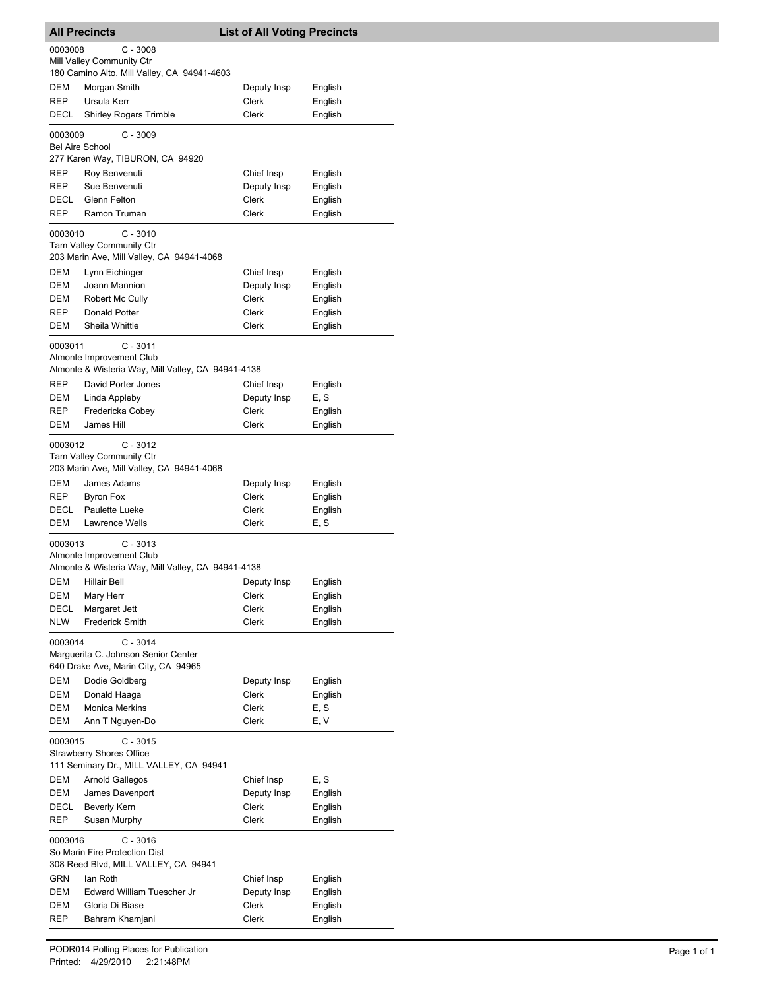|                        | All Precincts                                                              | <b>List of All Voting Precincts</b> |                    |
|------------------------|----------------------------------------------------------------------------|-------------------------------------|--------------------|
| 0003008                | $C - 3008$                                                                 |                                     |                    |
|                        | Mill Valley Community Ctr                                                  |                                     |                    |
|                        | 180 Camino Alto, Mill Valley, CA 94941-4603                                |                                     |                    |
| DEM                    | Morgan Smith                                                               | Deputy Insp                         | English            |
| REP                    | Ursula Kerr                                                                | Clerk                               | English            |
| DECL                   | <b>Shirley Rogers Trimble</b>                                              | Clerk                               | English            |
|                        |                                                                            |                                     |                    |
| 0003009                | $C - 3009$                                                                 |                                     |                    |
| <b>Bel Aire School</b> |                                                                            |                                     |                    |
|                        | 277 Karen Way, TIBURON, CA 94920                                           |                                     |                    |
| REP                    | Roy Benvenuti                                                              | Chief Insp                          | English            |
| REP                    | Sue Benvenuti                                                              | Deputy Insp                         | English            |
| DECL                   | Glenn Felton                                                               | Clerk                               | English            |
| REP                    | Ramon Truman                                                               | Clerk                               | English            |
| 0003010                | $C - 3010$                                                                 |                                     |                    |
|                        | <b>Tam Valley Community Ctr</b>                                            |                                     |                    |
|                        | 203 Marin Ave, Mill Valley, CA 94941-4068                                  |                                     |                    |
| DEM                    | Lynn Eichinger                                                             | Chief Insp                          | English            |
| DEM                    | Joann Mannion                                                              | Deputy Insp                         | English            |
| DEM                    | Robert Mc Cully                                                            | Clerk                               | English            |
| REP                    | Donald Potter                                                              | Clerk                               | English            |
| DEM                    | Sheila Whittle                                                             | Clerk                               | English            |
|                        |                                                                            |                                     |                    |
| 0003011                | $C - 3011$<br>Almonte Improvement Club                                     |                                     |                    |
|                        | Almonte & Wisteria Way, Mill Valley, CA 94941-4138                         |                                     |                    |
| <b>REP</b>             | David Porter Jones                                                         | Chief Insp                          |                    |
|                        |                                                                            |                                     | English            |
| DEM                    | Linda Appleby                                                              | Deputy Insp<br><b>Clerk</b>         | E, S               |
| <b>REP</b>             | Fredericka Cobey                                                           |                                     | English            |
| DEM                    | James Hill                                                                 | Clerk                               | English            |
| 0003012                | $C - 3012$                                                                 |                                     |                    |
|                        | Tam Valley Community Ctr                                                   |                                     |                    |
|                        | 203 Marin Ave, Mill Valley, CA 94941-4068                                  |                                     |                    |
| DEM                    | James Adams                                                                | Deputy Insp                         | English            |
| REP                    | Byron Fox                                                                  | Clerk                               | English            |
| DECL                   | Paulette Lueke                                                             | Clerk                               | English            |
| DEM                    | Lawrence Wells                                                             | Clerk                               | E, S               |
| 0003013                | $C - 3013$                                                                 |                                     |                    |
|                        | Almonte Improvement Club                                                   |                                     |                    |
|                        | Almonte & Wisteria Way, Mill Valley, CA 94941-4138                         |                                     |                    |
| DEM                    | <b>Hillair Bell</b>                                                        | Deputy Insp                         |                    |
| DEM                    | Mary Herr                                                                  | Clerk                               | English<br>English |
|                        |                                                                            |                                     |                    |
| DECL                   | Margaret Jett                                                              | Clerk                               | English            |
| NLW                    | <b>Frederick Smith</b>                                                     | Clerk                               | English            |
| 0003014                | $C - 3014$                                                                 |                                     |                    |
|                        | Marguerita C. Johnson Senior Center                                        |                                     |                    |
|                        | 640 Drake Ave, Marin City, CA 94965                                        |                                     |                    |
| DEM                    | Dodie Goldberg                                                             | Deputy Insp                         | English            |
| DEM                    | Donald Haaga                                                               | Clerk                               | English            |
| DEM                    | <b>Monica Merkins</b>                                                      | <b>Clerk</b>                        | E, S               |
| DEM                    | Ann T Nguyen-Do                                                            | Clerk                               | E, V               |
|                        |                                                                            |                                     |                    |
| 0003015                | $C - 3015$                                                                 |                                     |                    |
|                        | <b>Strawberry Shores Office</b><br>111 Seminary Dr., MILL VALLEY, CA 94941 |                                     |                    |
|                        |                                                                            |                                     |                    |
| DEM                    | <b>Arnold Gallegos</b>                                                     | Chief Insp                          | E, S               |
| DEM                    | James Davenport                                                            | Deputy Insp                         | English            |
| DECL                   | Beverly Kern                                                               | Clerk                               | English            |
| REP                    | Susan Murphy                                                               | Clerk                               | English            |
| 0003016                | C - 3016                                                                   |                                     |                    |
|                        | So Marin Fire Protection Dist                                              |                                     |                    |
|                        | 308 Reed Blvd, MILL VALLEY, CA 94941                                       |                                     |                    |
| <b>GRN</b>             | lan Roth                                                                   | Chief Insp                          | English            |
| DEM                    | Edward William Tuescher Jr                                                 | Deputy Insp                         | English            |
| DEM                    | Gloria Di Biase                                                            | Clerk                               | English            |
| REP                    | Bahram Khamjani                                                            | Clerk                               | English            |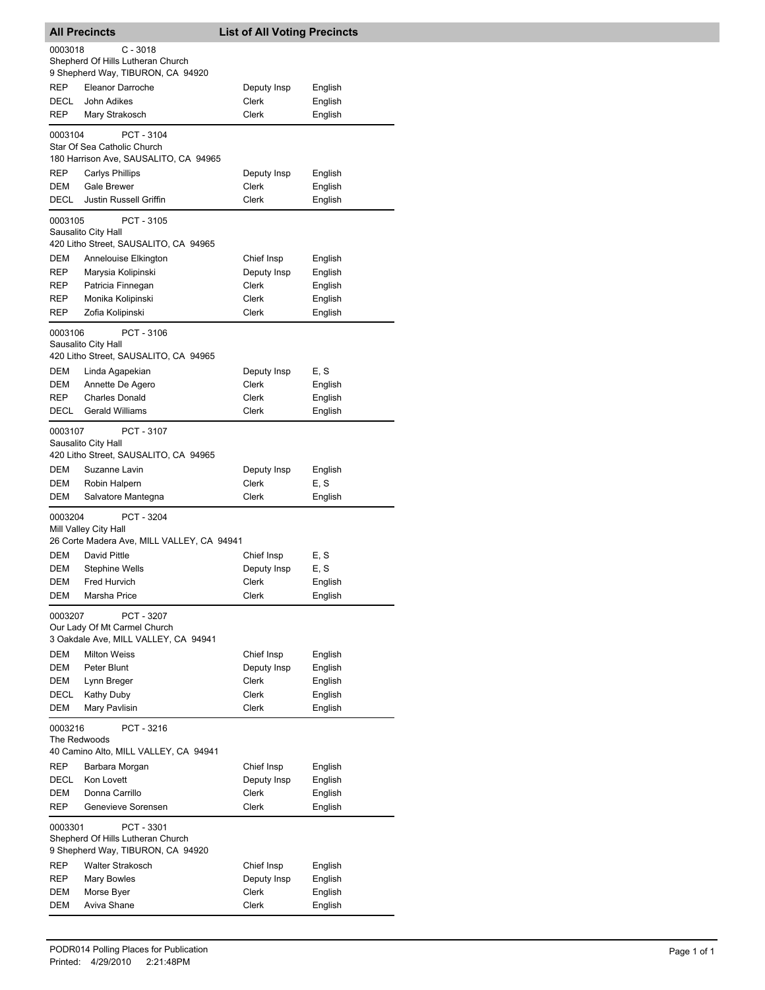| <b>All Precincts</b> |                                                                                      | <b>List of All Voting Precincts</b> |  |  |
|----------------------|--------------------------------------------------------------------------------------|-------------------------------------|--|--|
| 0003018              | $C - 3018$<br>Shepherd Of Hills Lutheran Church<br>9 Shepherd Way, TIBURON, CA 94920 |                                     |  |  |
| <b>REP</b>           | Eleanor Darroche                                                                     | Deputy Insp<br>English              |  |  |
| DECL                 | John Adikes                                                                          | Clerk<br>English                    |  |  |
| REP                  | Mary Strakosch                                                                       | Clerk<br>English                    |  |  |
| 0003104              | PCT - 3104<br>Star Of Sea Catholic Church<br>180 Harrison Ave, SAUSALITO, CA 94965   |                                     |  |  |
| REP                  | <b>Carlys Phillips</b>                                                               | Deputy Insp<br>English              |  |  |
| <b>DEM</b>           | Gale Brewer                                                                          | Clerk<br>English                    |  |  |
| <b>DECL</b>          | Justin Russell Griffin                                                               | Clerk<br>English                    |  |  |
| 0003105              | PCT - 3105<br>Sausalito City Hall<br>420 Litho Street, SAUSALITO, CA 94965           |                                     |  |  |
| DEM                  | Annelouise Elkington                                                                 | Chief Insp<br>English               |  |  |
| REP                  | Marysia Kolipinski                                                                   | Deputy Insp<br>English              |  |  |
| REP                  | Patricia Finnegan                                                                    | Clerk<br>English                    |  |  |
| REP                  | Monika Kolipinski                                                                    | Clerk<br>English                    |  |  |
| REP                  | Zofia Kolipinski                                                                     | Clerk<br>English                    |  |  |
| 0003106              | PCT - 3106<br>Sausalito City Hall<br>420 Litho Street, SAUSALITO, CA 94965           |                                     |  |  |
| <b>DEM</b>           | Linda Agapekian                                                                      | E, S<br>Deputy Insp                 |  |  |
| DEM                  | Annette De Agero                                                                     | Clerk<br>English                    |  |  |
| REP                  | <b>Charles Donald</b>                                                                | Clerk<br>English                    |  |  |
| DECL                 | <b>Gerald Williams</b>                                                               | Clerk<br>English                    |  |  |
| 0003107              | PCT - 3107<br>Sausalito City Hall<br>420 Litho Street, SAUSALITO, CA 94965           |                                     |  |  |
| DEM                  | Suzanne Lavin                                                                        | Deputy Insp<br>English              |  |  |
| DEM                  | Robin Halpern                                                                        | E, S<br>Clerk                       |  |  |
| DEM                  | Salvatore Mantegna                                                                   | Clerk<br>English                    |  |  |
| 0003204              | PCT - 3204<br>Mill Valley City Hall<br>26 Corte Madera Ave, MILL VALLEY, CA 94941    |                                     |  |  |
| DEM                  | David Pittle                                                                         | E, S<br>Chief Insp                  |  |  |
| DEM                  | <b>Stephine Wells</b>                                                                | Deputy Insp<br>E, S                 |  |  |
| DEM                  | Fred Hurvich                                                                         | Clerk<br>English                    |  |  |
| DEM                  | Marsha Price                                                                         | English<br>Clerk                    |  |  |
| 0003207              | PCT - 3207<br>Our Lady Of Mt Carmel Church<br>3 Oakdale Ave, MILL VALLEY, CA 94941   |                                     |  |  |
| <b>DEM</b>           | <b>Milton Weiss</b>                                                                  | Chief Insp<br>English               |  |  |
| DEM                  | Peter Blunt                                                                          | Deputy Insp<br>English              |  |  |
| DEM                  | Lynn Breger                                                                          | Clerk<br>English                    |  |  |
| DECL                 | Kathy Duby                                                                           | Clerk<br>English                    |  |  |
| <b>DEM</b>           | Mary Pavlisin                                                                        | Clerk<br>English                    |  |  |
| 0003216              | PCT - 3216<br>The Redwoods<br>40 Camino Alto, MILL VALLEY, CA 94941                  |                                     |  |  |
| <b>REP</b>           | Barbara Morgan                                                                       | Chief Insp<br>English               |  |  |
| DECL                 | Kon Lovett                                                                           | Deputy Insp<br>English              |  |  |
| DEM                  | Donna Carrillo                                                                       | Clerk<br>English                    |  |  |
| REP                  | Genevieve Sorensen                                                                   | Clerk<br>English                    |  |  |
| 0003301              | PCT - 3301<br>Shepherd Of Hills Lutheran Church<br>9 Shepherd Way, TIBURON, CA 94920 |                                     |  |  |
| <b>REP</b>           | Walter Strakosch                                                                     | Chief Insp<br>English               |  |  |
| <b>REP</b>           | <b>Mary Bowles</b>                                                                   | Deputy Insp<br>English              |  |  |
| DEM                  | Morse Byer                                                                           | Clerk<br>English                    |  |  |
| DEM                  | Aviva Shane                                                                          | Clerk<br>English                    |  |  |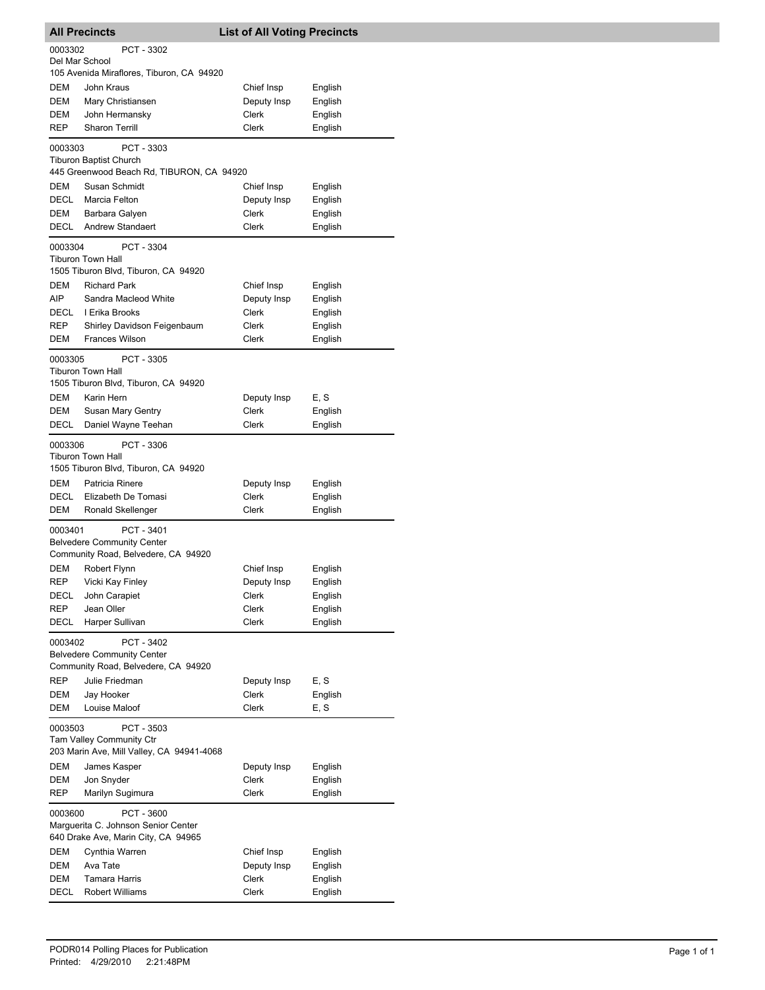|                                                                                                   | <b>All Precincts</b>                                                                                  | <b>List of All Voting Precincts</b> |         |  |
|---------------------------------------------------------------------------------------------------|-------------------------------------------------------------------------------------------------------|-------------------------------------|---------|--|
| 0003302<br>Del Mar School                                                                         | PCT - 3302                                                                                            |                                     |         |  |
|                                                                                                   | 105 Avenida Miraflores, Tiburon, CA 94920                                                             |                                     |         |  |
| DEM                                                                                               | John Kraus                                                                                            | Chief Insp                          | English |  |
| DEM                                                                                               | Mary Christiansen                                                                                     | Deputy Insp                         | English |  |
| DEM                                                                                               | John Hermansky                                                                                        | Clerk                               | English |  |
| REP                                                                                               | <b>Sharon Terrill</b>                                                                                 | Clerk                               | English |  |
| 0003303                                                                                           | PCT - 3303<br><b>Tiburon Baptist Church</b>                                                           |                                     |         |  |
|                                                                                                   | 445 Greenwood Beach Rd, TIBURON, CA 94920                                                             |                                     |         |  |
| DEM                                                                                               | Susan Schmidt                                                                                         | Chief Insp                          | English |  |
| DECL                                                                                              | Marcia Felton                                                                                         | Deputy Insp                         | English |  |
| DEM                                                                                               | Barbara Galyen                                                                                        | Clerk                               | English |  |
| DECL                                                                                              | <b>Andrew Standaert</b>                                                                               | Clerk                               | English |  |
| 0003304<br>DEM                                                                                    | PCT - 3304<br><b>Tiburon Town Hall</b><br>1505 Tiburon Blvd, Tiburon, CA 94920<br><b>Richard Park</b> | Chief Insp                          | English |  |
| AIP                                                                                               | Sandra Macleod White                                                                                  | Deputy Insp                         | English |  |
| DECL                                                                                              | I Erika Brooks                                                                                        | Clerk                               | English |  |
| <b>REP</b>                                                                                        | Shirley Davidson Feigenbaum                                                                           | Clerk                               | English |  |
| DEM                                                                                               | <b>Frances Wilson</b>                                                                                 | Clerk                               | English |  |
| 0003305                                                                                           | PCT - 3305                                                                                            |                                     |         |  |
|                                                                                                   | <b>Tiburon Town Hall</b><br>1505 Tiburon Blvd, Tiburon, CA 94920                                      |                                     |         |  |
| DEM                                                                                               | Karin Hern                                                                                            | Deputy Insp                         | E, S    |  |
| DEM                                                                                               | Susan Mary Gentry                                                                                     | Clerk                               | English |  |
| DECL                                                                                              | Daniel Wayne Teehan                                                                                   | Clerk                               | English |  |
| 0003306                                                                                           | PCT - 3306<br><b>Tiburon Town Hall</b><br>1505 Tiburon Blvd, Tiburon, CA 94920                        |                                     |         |  |
| DEM                                                                                               | Patricia Rinere                                                                                       | Deputy Insp                         | English |  |
| DECL                                                                                              | Elizabeth De Tomasi                                                                                   | Clerk                               | English |  |
| DEM                                                                                               | Ronald Skellenger                                                                                     | <b>Clerk</b>                        | English |  |
| 0003401                                                                                           | PCT - 3401<br><b>Belvedere Community Center</b><br>Community Road, Belvedere, CA 94920                |                                     |         |  |
| DEM                                                                                               | Robert Flynn                                                                                          | Chief Insp                          | English |  |
| REP                                                                                               | Vicki Kay Finley                                                                                      | Deputy Insp                         | English |  |
| DECL                                                                                              | John Carapiet                                                                                         | Clerk                               | English |  |
| <b>REP</b>                                                                                        | Jean Oller                                                                                            | Clerk                               | English |  |
| DECL                                                                                              | Harper Sullivan                                                                                       | Clerk                               | English |  |
| 0003402<br>PCT - 3402<br><b>Belvedere Community Center</b><br>Community Road, Belvedere, CA 94920 |                                                                                                       |                                     |         |  |
| REP                                                                                               | Julie Friedman                                                                                        | Deputy Insp                         | E, S    |  |
| DEM                                                                                               | Jay Hooker                                                                                            | <b>Clerk</b>                        | English |  |
| DEM                                                                                               | Louise Maloof                                                                                         | Clerk                               | E, S    |  |
| 0003503                                                                                           | PCT - 3503<br><b>Tam Valley Community Ctr</b><br>203 Marin Ave, Mill Valley, CA 94941-4068            |                                     |         |  |
| DEM                                                                                               | James Kasper                                                                                          | Deputy Insp                         | English |  |
| DEM                                                                                               | Jon Snyder                                                                                            | Clerk                               | English |  |
| <b>REP</b>                                                                                        | Marilyn Sugimura                                                                                      | Clerk                               | English |  |
| 0003600                                                                                           | PCT - 3600<br>Marguerita C. Johnson Senior Center                                                     |                                     |         |  |
|                                                                                                   | 640 Drake Ave, Marin City, CA 94965                                                                   |                                     |         |  |
| DEM                                                                                               | Cynthia Warren                                                                                        | Chief Insp                          | English |  |
| DEM                                                                                               | Ava Tate                                                                                              | Deputy Insp                         | English |  |
| DEM                                                                                               | <b>Tamara Harris</b>                                                                                  | Clerk                               | English |  |
| DECL                                                                                              | <b>Robert Williams</b>                                                                                | Clerk                               | English |  |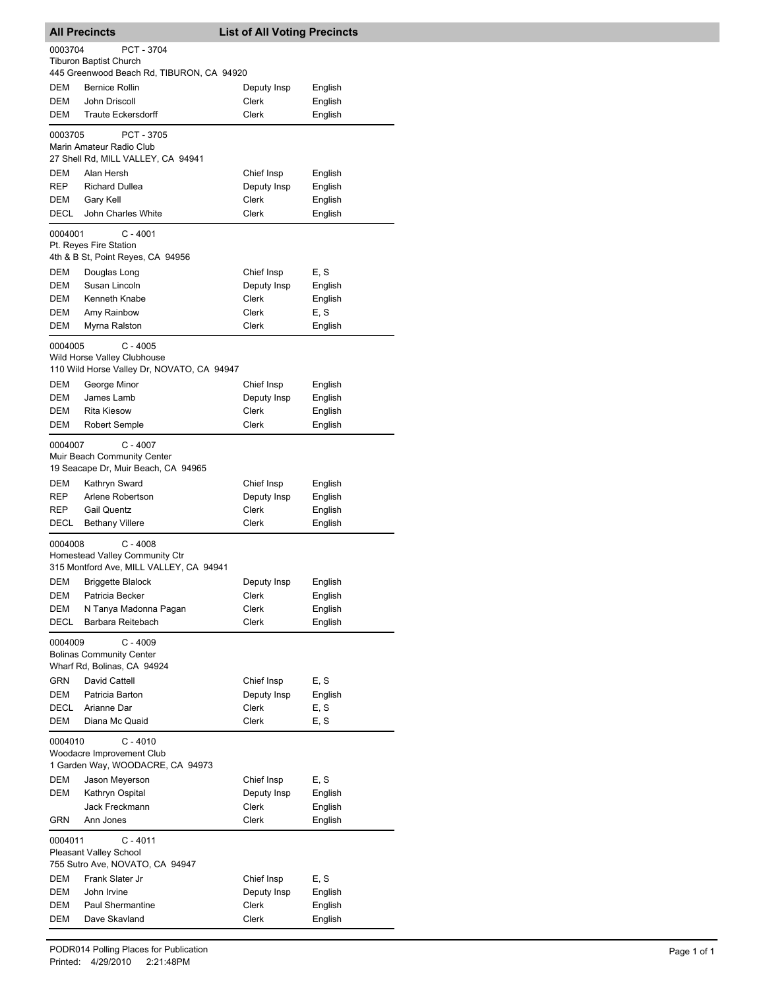| <b>All Precincts</b>                                                                   |                                                                                         | <b>List of All Voting Precincts</b> |                    |  |
|----------------------------------------------------------------------------------------|-----------------------------------------------------------------------------------------|-------------------------------------|--------------------|--|
| 0003704                                                                                | PCT - 3704                                                                              |                                     |                    |  |
|                                                                                        | <b>Tiburon Baptist Church</b>                                                           |                                     |                    |  |
|                                                                                        | 445 Greenwood Beach Rd, TIBURON, CA 94920                                               |                                     |                    |  |
| DEM                                                                                    | <b>Bernice Rollin</b>                                                                   | Deputy Insp                         | English            |  |
| <b>DEM</b>                                                                             | John Driscoll                                                                           | Clerk                               | English            |  |
| DEM                                                                                    | <b>Traute Eckersdorff</b>                                                               | Clerk                               | English            |  |
|                                                                                        |                                                                                         |                                     |                    |  |
| 0003705                                                                                | PCT - 3705<br>Marin Amateur Radio Club<br>27 Shell Rd, MILL VALLEY, CA 94941            |                                     |                    |  |
|                                                                                        |                                                                                         |                                     |                    |  |
| DEM<br><b>REP</b>                                                                      | Alan Hersh<br><b>Richard Dullea</b>                                                     | Chief Insp                          | English            |  |
| DEM                                                                                    | Gary Kell                                                                               | Deputy Insp<br>Clerk                | English<br>English |  |
| DECL                                                                                   | John Charles White                                                                      | Clerk                               | English            |  |
|                                                                                        |                                                                                         |                                     |                    |  |
| 0004001                                                                                | C - 4001<br>Pt. Reyes Fire Station                                                      |                                     |                    |  |
|                                                                                        | 4th & B St, Point Reyes, CA 94956                                                       |                                     |                    |  |
| DEM                                                                                    | Douglas Long                                                                            | Chief Insp                          | E, S               |  |
| DEM                                                                                    | Susan Lincoln                                                                           | Deputy Insp                         | English            |  |
| <b>DEM</b>                                                                             | Kenneth Knabe                                                                           | Clerk                               | English            |  |
| DEM                                                                                    | Amy Rainbow                                                                             | Clerk                               | E, S               |  |
| DEM                                                                                    | Myrna Ralston                                                                           | Clerk                               | English            |  |
|                                                                                        |                                                                                         |                                     |                    |  |
| 0004005                                                                                | C - 4005                                                                                |                                     |                    |  |
|                                                                                        | Wild Horse Valley Clubhouse<br>110 Wild Horse Valley Dr, NOVATO, CA 94947               |                                     |                    |  |
| DEM                                                                                    | George Minor                                                                            | Chief Insp                          | English            |  |
| DEM                                                                                    | James Lamb                                                                              | Deputy Insp                         | English            |  |
| DEM                                                                                    | <b>Rita Kiesow</b>                                                                      | Clerk                               | English            |  |
| DEM                                                                                    | Robert Semple                                                                           | Clerk                               | English            |  |
|                                                                                        |                                                                                         |                                     |                    |  |
| 0004007                                                                                | $C - 4007$<br>Muir Beach Community Center<br>19 Seacape Dr, Muir Beach, CA 94965        |                                     |                    |  |
| DEM                                                                                    | Kathryn Sward                                                                           | Chief Insp                          | English            |  |
| <b>REP</b>                                                                             | Arlene Robertson                                                                        | Deputy Insp                         | English            |  |
| REP                                                                                    | <b>Gail Quentz</b>                                                                      | Clerk                               | English            |  |
| DECL                                                                                   | <b>Bethany Villere</b>                                                                  | Clerk                               | English            |  |
|                                                                                        |                                                                                         |                                     |                    |  |
| 0004008                                                                                | $C - 4008$<br>Homestead Valley Community Ctr<br>315 Montford Ave, MILL VALLEY, CA 94941 |                                     |                    |  |
| DEM                                                                                    |                                                                                         |                                     |                    |  |
|                                                                                        | <b>Briggette Blalock</b><br>Patricia Becker                                             | Deputy Insp                         | English            |  |
| DEM<br>DEM                                                                             |                                                                                         | Clerk<br>Clerk                      | English<br>English |  |
| <b>DECL</b>                                                                            | N Tanya Madonna Pagan<br>Barbara Reitebach                                              | Clerk                               | English            |  |
|                                                                                        |                                                                                         |                                     |                    |  |
| 0004009                                                                                | C - 4009<br><b>Bolinas Community Center</b>                                             |                                     |                    |  |
|                                                                                        | Wharf Rd, Bolinas, CA 94924                                                             |                                     |                    |  |
| <b>GRN</b>                                                                             | David Cattell                                                                           | Chief Insp                          | E, S               |  |
| DEM                                                                                    | Patricia Barton                                                                         | Deputy Insp                         | English            |  |
| <b>DECL</b>                                                                            | Arianne Dar                                                                             | Clerk                               | E, S               |  |
| <b>DEM</b>                                                                             | Diana Mc Quaid                                                                          | Clerk                               | E, S               |  |
| 0004010<br>$C - 4010$<br>Woodacre Improvement Club<br>1 Garden Way, WOODACRE, CA 94973 |                                                                                         |                                     |                    |  |
| DEM                                                                                    |                                                                                         | Chief Insp                          | E, S               |  |
| DEM                                                                                    | Jason Meyerson                                                                          |                                     |                    |  |
|                                                                                        | Kathryn Ospital<br>Jack Freckmann                                                       | Deputy Insp<br>Clerk                | English            |  |
| GRN                                                                                    | Ann Jones                                                                               | Clerk                               | English<br>English |  |
|                                                                                        |                                                                                         |                                     |                    |  |
|                                                                                        | 0004011<br>C - 4011<br>Pleasant Valley School                                           |                                     |                    |  |
| 755 Sutro Ave, NOVATO, CA 94947                                                        |                                                                                         |                                     |                    |  |
| DEM                                                                                    | Frank Slater Jr                                                                         | Chief Insp                          | E, S               |  |
| DEM                                                                                    | John Irvine                                                                             | Deputy Insp                         | English            |  |
| DEM                                                                                    | Paul Shermantine                                                                        | Clerk                               | English            |  |
| DEM                                                                                    | Dave Skavland                                                                           | Clerk                               | English            |  |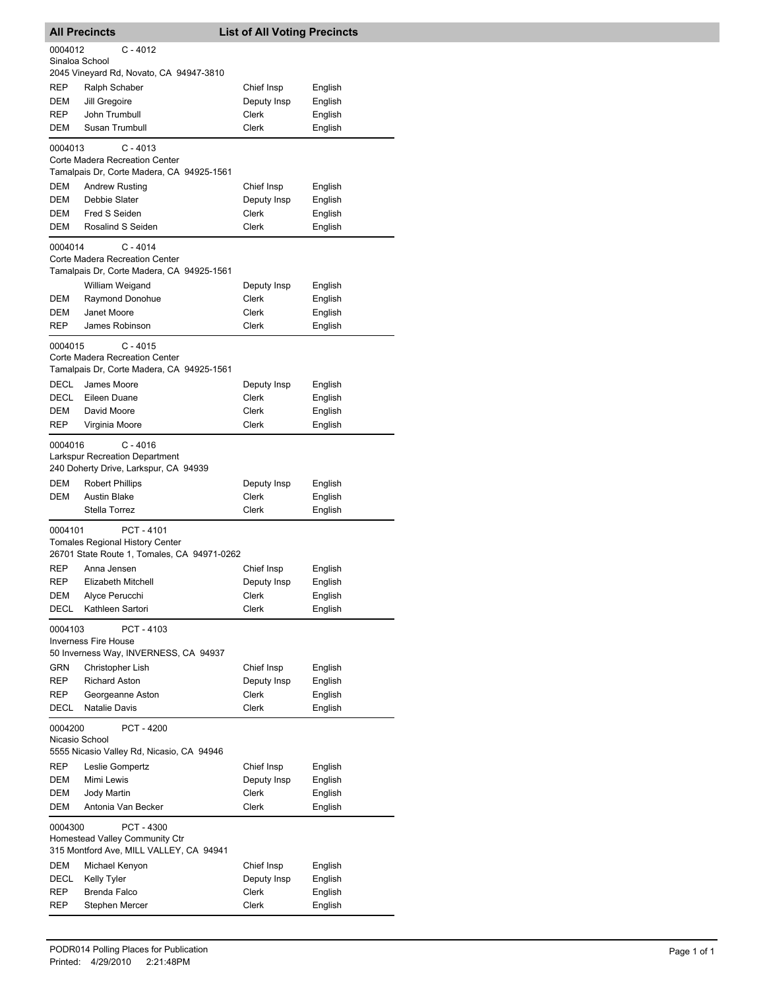| <b>List of All Voting Precincts</b><br><b>All Precincts</b>                                        |                                                                                                   |              |         |  |
|----------------------------------------------------------------------------------------------------|---------------------------------------------------------------------------------------------------|--------------|---------|--|
| $C - 4012$<br>0004012<br>Sinaloa School                                                            |                                                                                                   |              |         |  |
|                                                                                                    | 2045 Vineyard Rd, Novato, CA 94947-3810                                                           |              |         |  |
| REP                                                                                                | Ralph Schaber                                                                                     | Chief Insp   | English |  |
| DEM                                                                                                | Jill Gregoire                                                                                     | Deputy Insp  | English |  |
| REP                                                                                                | John Trumbull                                                                                     | Clerk        | English |  |
| DEM                                                                                                | Susan Trumbull                                                                                    | <b>Clerk</b> | English |  |
| 0004013                                                                                            | $C - 4013$<br>Corte Madera Recreation Center<br>Tamalpais Dr, Corte Madera, CA 94925-1561         |              |         |  |
| DEM                                                                                                | <b>Andrew Rusting</b>                                                                             | Chief Insp   | English |  |
| DEM                                                                                                | Debbie Slater                                                                                     | Deputy Insp  | English |  |
| DEM                                                                                                | Fred S Seiden                                                                                     | Clerk        | English |  |
| DEM                                                                                                | Rosalind S Seiden                                                                                 | Clerk        | English |  |
| 0004014                                                                                            | C - 4014<br>Corte Madera Recreation Center<br>Tamalpais Dr, Corte Madera, CA 94925-1561           |              |         |  |
|                                                                                                    | William Weigand                                                                                   | Deputy Insp  | English |  |
| DEM                                                                                                | Raymond Donohue                                                                                   | Clerk        | English |  |
| DEM                                                                                                | Janet Moore                                                                                       | Clerk        | English |  |
| REP                                                                                                | James Robinson                                                                                    | Clerk        | English |  |
| 0004015                                                                                            | $C - 4015$<br>Corte Madera Recreation Center<br>Tamalpais Dr, Corte Madera, CA 94925-1561         |              |         |  |
| DECL                                                                                               | James Moore                                                                                       | Deputy Insp  | English |  |
| DECL                                                                                               | Eileen Duane                                                                                      | Clerk        | English |  |
| <b>DEM</b>                                                                                         | David Moore                                                                                       | Clerk        | English |  |
| REP                                                                                                | Virginia Moore                                                                                    | Clerk        | English |  |
| 0004016                                                                                            | $C - 4016$<br><b>Larkspur Recreation Department</b><br>240 Doherty Drive, Larkspur, CA 94939      |              |         |  |
| DEM                                                                                                | <b>Robert Phillips</b>                                                                            | Deputy Insp  | English |  |
| DEM                                                                                                | <b>Austin Blake</b>                                                                               | Clerk        | English |  |
|                                                                                                    | Stella Torrez                                                                                     | Clerk        | English |  |
| 0004101                                                                                            | PCT-4101<br><b>Tomales Regional History Center</b><br>26701 State Route 1, Tomales, CA 94971-0262 |              |         |  |
| <b>REP</b>                                                                                         | Anna Jensen                                                                                       | Chief Insp   | English |  |
| REP                                                                                                | <b>Elizabeth Mitchell</b>                                                                         | Deputy Insp  | English |  |
| DEM                                                                                                | Alyce Perucchi                                                                                    | Clerk        | English |  |
| DECL                                                                                               | Kathleen Sartori                                                                                  | <b>Clerk</b> | English |  |
| 0004103<br>PCT-4103<br><b>Inverness Fire House</b><br>50 Inverness Way, INVERNESS, CA 94937        |                                                                                                   |              |         |  |
| GRN                                                                                                | Christopher Lish                                                                                  | Chief Insp   | English |  |
| REP                                                                                                | <b>Richard Aston</b>                                                                              | Deputy Insp  | English |  |
| REP                                                                                                | Georgeanne Aston                                                                                  | Clerk        | English |  |
| DECL                                                                                               | Natalie Davis                                                                                     | Clerk        | English |  |
| PCT - 4200<br>0004200<br>Nicasio School<br>5555 Nicasio Valley Rd, Nicasio, CA 94946               |                                                                                                   |              |         |  |
| REP                                                                                                | Leslie Gompertz                                                                                   | Chief Insp   | English |  |
| DEM                                                                                                | Mimi Lewis                                                                                        | Deputy Insp  | English |  |
| DEM                                                                                                | Jody Martin                                                                                       | Clerk        | English |  |
| DEM                                                                                                | Antonia Van Becker                                                                                | Clerk        | English |  |
| 0004300<br>PCT - 4300<br>Homestead Valley Community Ctr<br>315 Montford Ave, MILL VALLEY, CA 94941 |                                                                                                   |              |         |  |
| DEM                                                                                                | Michael Kenyon                                                                                    | Chief Insp   | English |  |
| DECL                                                                                               | <b>Kelly Tyler</b>                                                                                | Deputy Insp  | English |  |
| REP                                                                                                | Brenda Falco                                                                                      | Clerk        | English |  |
| REP                                                                                                | Stephen Mercer                                                                                    | Clerk        | English |  |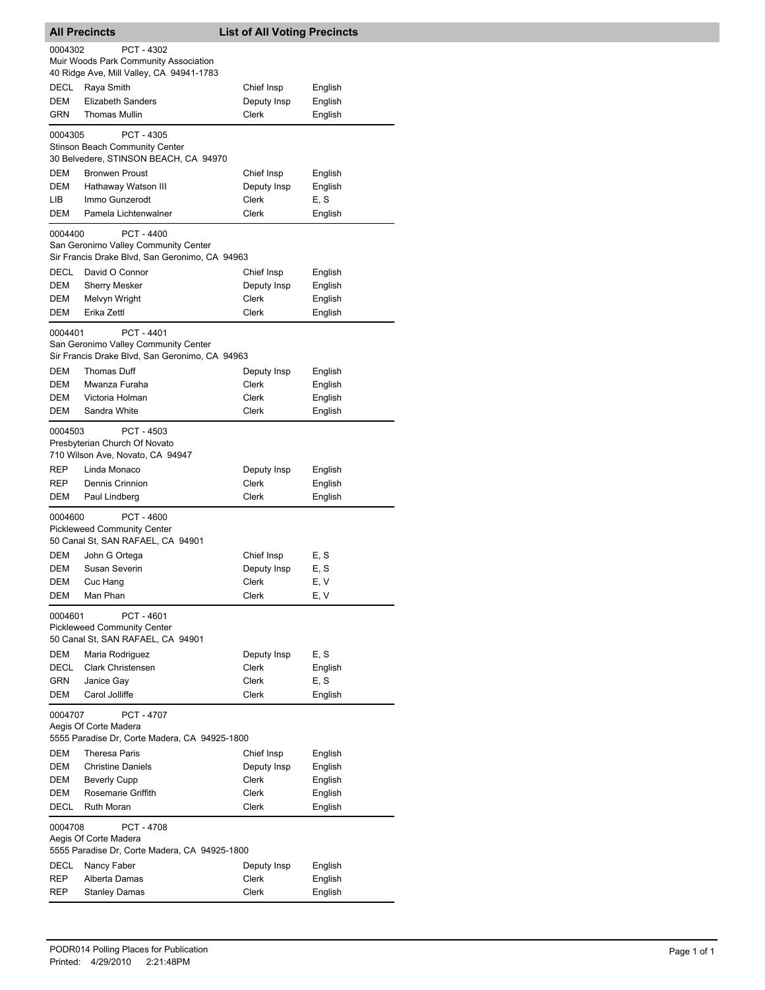|                                                                                                                 | <b>List of All Voting Precincts</b> |  |  |  |  |
|-----------------------------------------------------------------------------------------------------------------|-------------------------------------|--|--|--|--|
| 0004302<br>PCT - 4302<br>Muir Woods Park Community Association                                                  |                                     |  |  |  |  |
| 40 Ridge Ave, Mill Valley, CA 94941-1783                                                                        |                                     |  |  |  |  |
| DECL<br>Raya Smith<br>Chief Insp<br>English<br>DEM<br><b>Elizabeth Sanders</b><br>English                       |                                     |  |  |  |  |
| Deputy Insp<br>GRN<br><b>Thomas Mullin</b><br>Clerk<br>English                                                  |                                     |  |  |  |  |
|                                                                                                                 |                                     |  |  |  |  |
| 0004305<br>PCT - 4305<br><b>Stinson Beach Community Center</b>                                                  |                                     |  |  |  |  |
| 30 Belvedere, STINSON BEACH, CA 94970                                                                           |                                     |  |  |  |  |
| DEM<br><b>Bronwen Proust</b><br>Chief Insp<br>English                                                           |                                     |  |  |  |  |
| DEM<br>Hathaway Watson III<br>Deputy Insp<br>English                                                            |                                     |  |  |  |  |
| Immo Gunzerodt<br>Clerk<br>E, S<br>LIB<br>DEM<br>Pamela Lichtenwalner<br>Clerk<br>English                       |                                     |  |  |  |  |
|                                                                                                                 |                                     |  |  |  |  |
| PCT - 4400<br>0004400<br>San Geronimo Valley Community Center                                                   |                                     |  |  |  |  |
| Sir Francis Drake Blvd, San Geronimo, CA 94963<br>DECL<br>David O Connor                                        |                                     |  |  |  |  |
| Chief Insp<br>English<br><b>DEM</b><br><b>Sherry Mesker</b><br>Deputy Insp<br>English                           |                                     |  |  |  |  |
| DEM<br>Clerk<br>English<br>Melvyn Wright                                                                        |                                     |  |  |  |  |
| DEM<br>Erika Zettl<br>Clerk<br>English                                                                          |                                     |  |  |  |  |
|                                                                                                                 |                                     |  |  |  |  |
| 0004401<br>PCT - 4401<br>San Geronimo Valley Community Center<br>Sir Francis Drake Blvd, San Geronimo, CA 94963 |                                     |  |  |  |  |
| DEM<br>Thomas Duff<br>Deputy Insp<br>English                                                                    |                                     |  |  |  |  |
| DEM<br>Mwanza Furaha<br>Clerk<br>English                                                                        |                                     |  |  |  |  |
| DEM<br>Victoria Holman<br>Clerk<br>English                                                                      |                                     |  |  |  |  |
| DEM<br>Sandra White<br>Clerk<br>English                                                                         |                                     |  |  |  |  |
| PCT - 4503<br>0004503<br>Presbyterian Church Of Novato<br>710 Wilson Ave, Novato, CA 94947                      |                                     |  |  |  |  |
| Linda Monaco<br>REP<br>Deputy Insp<br>English                                                                   |                                     |  |  |  |  |
| REP<br>Dennis Crinnion<br>Clerk<br>English                                                                      |                                     |  |  |  |  |
| Clerk<br>DEM<br>Paul Lindberg<br>English                                                                        |                                     |  |  |  |  |
| PCT - 4600<br>0004600<br><b>Pickleweed Community Center</b><br>50 Canal St, SAN RAFAEL, CA 94901                |                                     |  |  |  |  |
| <b>DEM</b><br>E, S<br>John G Ortega<br>Chief Insp                                                               |                                     |  |  |  |  |
| DEM<br>Susan Severin<br>E, S<br>Deputy Insp                                                                     |                                     |  |  |  |  |
| DEM<br>Cuc Hang<br>Clerk<br>E, V                                                                                |                                     |  |  |  |  |
| Man Phan<br>DEM<br>Clerk<br>E, V                                                                                |                                     |  |  |  |  |
| PCT - 4601<br>0004601<br><b>Pickleweed Community Center</b><br>50 Canal St, SAN RAFAEL, CA 94901                |                                     |  |  |  |  |
| DEM<br>E, S<br>Maria Rodriguez<br>Deputy Insp                                                                   |                                     |  |  |  |  |
| DECL<br>Clark Christensen<br>Clerk<br>English                                                                   |                                     |  |  |  |  |
| GRN<br>Clerk<br>E, S<br>Janice Gay                                                                              |                                     |  |  |  |  |
| DEM<br>Carol Jolliffe<br>Clerk<br>English                                                                       |                                     |  |  |  |  |
| 0004707<br>PCT - 4707<br>Aegis Of Corte Madera                                                                  |                                     |  |  |  |  |
| 5555 Paradise Dr, Corte Madera, CA 94925-1800<br>DEM<br>Theresa Paris<br>Chief Insp<br>English                  |                                     |  |  |  |  |
| DEM<br><b>Christine Daniels</b><br>Deputy Insp<br>English                                                       |                                     |  |  |  |  |
| DEM<br><b>Beverly Cupp</b><br>Clerk<br>English                                                                  |                                     |  |  |  |  |
| DEM<br>Rosemarie Griffith<br>Clerk<br>English                                                                   |                                     |  |  |  |  |
| DECL<br><b>Ruth Moran</b><br>Clerk<br>English                                                                   |                                     |  |  |  |  |
| PCT - 4708<br>0004708<br>Aegis Of Corte Madera                                                                  |                                     |  |  |  |  |
| 5555 Paradise Dr, Corte Madera, CA 94925-1800<br>DECL<br>English                                                |                                     |  |  |  |  |
| Nancy Faber<br>Deputy Insp<br>REP<br>Clerk<br>Alberta Damas<br>English                                          |                                     |  |  |  |  |
| REP<br>Stanley Damas<br>Clerk<br>English                                                                        |                                     |  |  |  |  |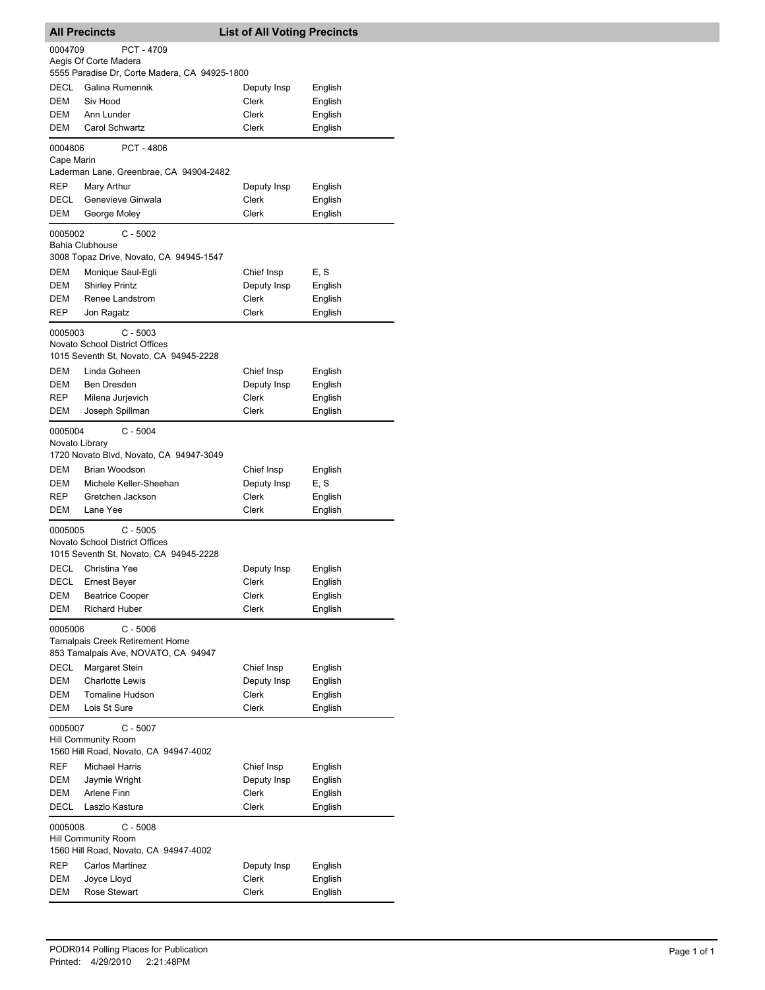| <b>All Precincts</b>                                                                                   |                                                                                             | <b>List of All Voting Precincts</b>                |                                          |  |  |
|--------------------------------------------------------------------------------------------------------|---------------------------------------------------------------------------------------------|----------------------------------------------------|------------------------------------------|--|--|
| 0004709<br>PCT - 4709<br>Aegis Of Corte Madera<br>5555 Paradise Dr, Corte Madera, CA 94925-1800        |                                                                                             |                                                    |                                          |  |  |
| DECL<br>DEM<br>DEM<br>DEM                                                                              | Galina Rumennik<br>Siv Hood<br>Ann Lunder<br>Carol Schwartz                                 | Deputy Insp<br>Clerk<br>Clerk<br>Clerk             | English<br>English<br>English<br>English |  |  |
| 0004806<br>Cape Marin                                                                                  | <b>PCT - 4806</b>                                                                           |                                                    |                                          |  |  |
| <b>REP</b><br>DECL<br>DEM                                                                              | Laderman Lane, Greenbrae, CA 94904-2482<br>Mary Arthur<br>Genevieve Ginwala<br>George Moley | Deputy Insp<br>Clerk<br>Clerk                      | English<br>English<br>English            |  |  |
| 0005002                                                                                                | $C - 5002$<br><b>Bahia Clubhouse</b><br>3008 Topaz Drive, Novato, CA 94945-1547             |                                                    |                                          |  |  |
| <b>DEM</b><br>DEM<br>DEM<br><b>REP</b>                                                                 | Monique Saul-Egli<br><b>Shirley Printz</b><br>Renee Landstrom<br>Jon Ragatz                 | Chief Insp<br>Deputy Insp<br>Clerk<br>Clerk        | E, S<br>English<br>English<br>English    |  |  |
| 0005003                                                                                                | $C - 5003$<br>Novato School District Offices<br>1015 Seventh St, Novato, CA 94945-2228      |                                                    |                                          |  |  |
| <b>DEM</b><br>DEM<br>REP<br>DEM                                                                        | Linda Goheen<br>Ben Dresden<br>Milena Jurjevich<br>Joseph Spillman                          | Chief Insp<br>Deputy Insp<br>Clerk<br>Clerk        | English<br>English<br>English<br>English |  |  |
|                                                                                                        | $C - 5004$<br>0005004<br>Novato Library<br>1720 Novato Blvd, Novato, CA 94947-3049          |                                                    |                                          |  |  |
| DEM<br>DEM<br>REP<br>DEM                                                                               | Brian Woodson<br>Michele Keller-Sheehan<br>Gretchen Jackson<br>Lane Yee                     | Chief Insp<br>Deputy Insp<br>Clerk<br>Clerk        | English<br>E, S<br>English<br>English    |  |  |
| 0005005                                                                                                | $C - 5005$<br>Novato School District Offices<br>1015 Seventh St, Novato, CA 94945-2228      |                                                    |                                          |  |  |
| DECL<br>DECL<br>DEM<br>DEM                                                                             | Christina Yee<br>Ernest Beyer<br><b>Beatrice Cooper</b><br><b>Richard Huber</b>             | Deputy Insp<br>Clerk<br>Clerk<br>Clerk             | English<br>English<br>English<br>English |  |  |
| 0005006<br>$C - 5006$<br><b>Tamalpais Creek Retirement Home</b><br>853 Tamalpais Ave, NOVATO, CA 94947 |                                                                                             |                                                    |                                          |  |  |
| DECL<br>DEM<br><b>DEM</b><br><b>DEM</b>                                                                | Margaret Stein<br><b>Charlotte Lewis</b><br><b>Tomaline Hudson</b><br>Lois St Sure          | Chief Insp<br>Deputy Insp<br>Clerk<br>Clerk        | English<br>English<br>English<br>English |  |  |
| 0005007<br>$C - 5007$<br><b>Hill Community Room</b><br>1560 Hill Road, Novato, CA 94947-4002           |                                                                                             |                                                    |                                          |  |  |
| REF<br>DEM<br>DEM<br><b>DECL</b>                                                                       | <b>Michael Harris</b><br>Jaymie Wright<br>Arlene Finn<br>Laszlo Kastura                     | Chief Insp<br>Deputy Insp<br>Clerk<br><b>Clerk</b> | English<br>English<br>English<br>English |  |  |
| 0005008<br>$C - 5008$<br><b>Hill Community Room</b><br>1560 Hill Road, Novato, CA 94947-4002           |                                                                                             |                                                    |                                          |  |  |
| REP<br>DEM<br>DEM                                                                                      | <b>Carlos Martinez</b><br>Joyce Lloyd<br>Rose Stewart                                       | Deputy Insp<br>Clerk<br>Clerk                      | English<br>English<br>English            |  |  |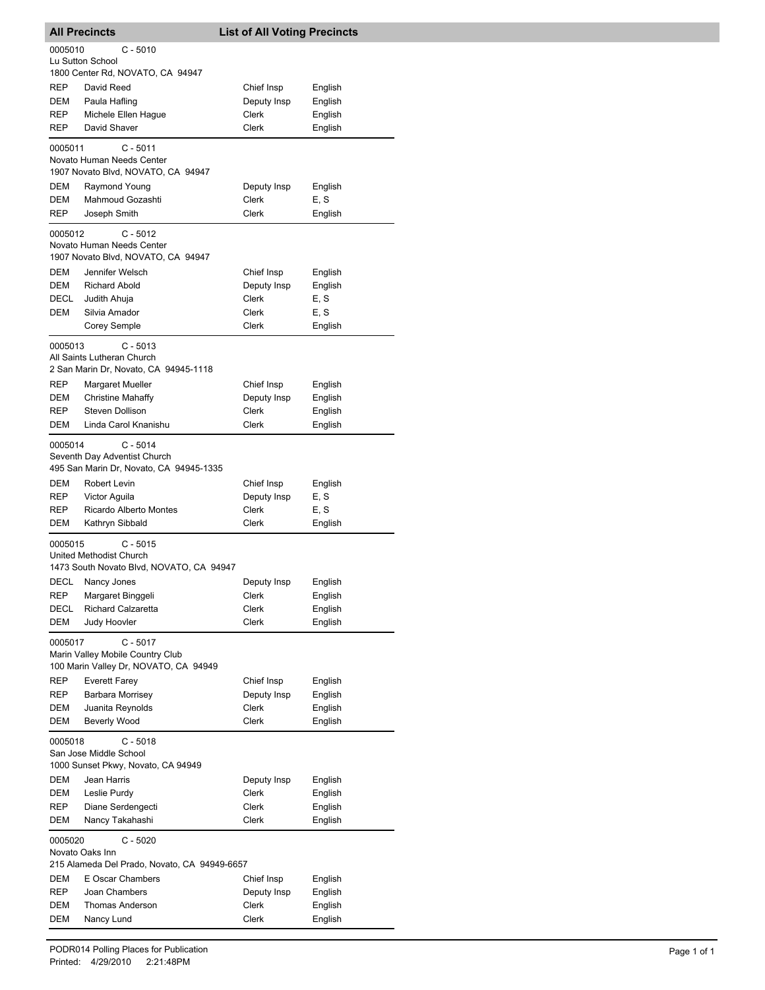| <b>All Precincts</b>                                                                               |                                                                                   | <b>List of All Voting Precincts</b> |                    |  |
|----------------------------------------------------------------------------------------------------|-----------------------------------------------------------------------------------|-------------------------------------|--------------------|--|
| 0005010                                                                                            | $C - 5010$                                                                        |                                     |                    |  |
|                                                                                                    | Lu Sutton School                                                                  |                                     |                    |  |
|                                                                                                    | 1800 Center Rd, NOVATO, CA 94947                                                  |                                     |                    |  |
| REP                                                                                                | David Reed                                                                        | Chief Insp                          | English            |  |
| DEM                                                                                                | Paula Hafling                                                                     | Deputy Insp                         | English            |  |
| REP                                                                                                | Michele Ellen Hague<br>David Shaver                                               | Clerk<br>Clerk                      | English            |  |
| REP                                                                                                |                                                                                   |                                     | English            |  |
| 0005011                                                                                            | C - 5011<br>Novato Human Needs Center<br>1907 Novato Blvd, NOVATO, CA 94947       |                                     |                    |  |
| <b>DEM</b>                                                                                         | Raymond Young                                                                     | Deputy Insp                         | English            |  |
| DEM                                                                                                | Mahmoud Gozashti                                                                  | Clerk                               | E, S               |  |
| REP                                                                                                | Joseph Smith                                                                      | Clerk                               | English            |  |
| 0005012                                                                                            | $C - 5012$<br>Novato Human Needs Center<br>1907 Novato Blvd, NOVATO, CA 94947     |                                     |                    |  |
| <b>DEM</b>                                                                                         | Jennifer Welsch                                                                   | Chief Insp                          | English            |  |
| DEM                                                                                                | <b>Richard Abold</b>                                                              | Deputy Insp                         | English            |  |
| DECL                                                                                               | Judith Ahuja                                                                      | <b>Clerk</b>                        | E, S               |  |
| DEM                                                                                                | Silvia Amador                                                                     | Clerk                               | E, S               |  |
|                                                                                                    | <b>Corey Semple</b>                                                               | Clerk                               | English            |  |
|                                                                                                    | 0005013<br>$C - 5013$<br>All Saints Lutheran Church                               |                                     |                    |  |
|                                                                                                    | 2 San Marin Dr, Novato, CA 94945-1118                                             |                                     |                    |  |
| REP<br>DEM                                                                                         | Margaret Mueller<br><b>Christine Mahaffy</b>                                      | Chief Insp<br>Deputy Insp           | English<br>English |  |
| <b>REP</b>                                                                                         | Steven Dollison                                                                   | Clerk                               | English            |  |
| DEM                                                                                                | Linda Carol Knanishu                                                              | Clerk                               | English            |  |
| 0005014<br>C - 5014<br>Seventh Day Adventist Church<br>495 San Marin Dr, Novato, CA 94945-1335     |                                                                                   |                                     |                    |  |
| DEM                                                                                                | Robert Levin                                                                      | Chief Insp                          | English            |  |
| REP                                                                                                | Victor Aguila                                                                     | Deputy Insp                         | E, S               |  |
| REP                                                                                                | <b>Ricardo Alberto Montes</b>                                                     | <b>Clerk</b>                        | E.S                |  |
| <b>DEM</b>                                                                                         | Kathryn Sibbald                                                                   | Clerk                               | English            |  |
| 0005015                                                                                            | $C - 5015$<br>United Methodist Church<br>1473 South Novato Blvd, NOVATO, CA 94947 |                                     |                    |  |
|                                                                                                    | DECL Nancy Jones                                                                  | Deputy Insp                         | English            |  |
| REP                                                                                                | Margaret Binggeli                                                                 | Clerk                               | English            |  |
| DECL                                                                                               | <b>Richard Calzaretta</b>                                                         | Clerk                               | English            |  |
| <b>DEM</b>                                                                                         | <b>Judy Hoovler</b>                                                               | <b>Clerk</b>                        | English            |  |
| 0005017<br>$C - 5017$<br>Marin Valley Mobile Country Club<br>100 Marin Valley Dr, NOVATO, CA 94949 |                                                                                   |                                     |                    |  |
| REP                                                                                                | <b>Everett Farey</b>                                                              | Chief Insp                          | English            |  |
| REP                                                                                                | Barbara Morrisey                                                                  | Deputy Insp                         | English            |  |
| DEM                                                                                                | Juanita Reynolds                                                                  | Clerk                               | English            |  |
| Beverly Wood<br>DEM<br>Clerk<br>English<br>$C - 5018$<br>0005018<br>San Jose Middle School         |                                                                                   |                                     |                    |  |
|                                                                                                    | 1000 Sunset Pkwy, Novato, CA 94949                                                |                                     |                    |  |
| DEM                                                                                                | Jean Harris                                                                       | Deputy Insp                         | English            |  |
| DEM                                                                                                | Leslie Purdy                                                                      | Clerk                               | English            |  |
| REP<br>DEM                                                                                         | Diane Serdengecti<br>Nancy Takahashi                                              | Clerk<br>Clerk                      | English<br>English |  |
| 0005020                                                                                            | $C - 5020$                                                                        |                                     |                    |  |
|                                                                                                    | Novato Oaks Inn<br>215 Alameda Del Prado, Novato, CA 94949-6657                   |                                     |                    |  |
| DEM                                                                                                | E Oscar Chambers                                                                  | Chief Insp                          | English            |  |
| REP                                                                                                | Joan Chambers                                                                     | Deputy Insp                         | English            |  |
| DEM                                                                                                | Thomas Anderson                                                                   | Clerk                               | English            |  |
| <b>DEM</b>                                                                                         | Nancy Lund                                                                        | Clerk                               | English            |  |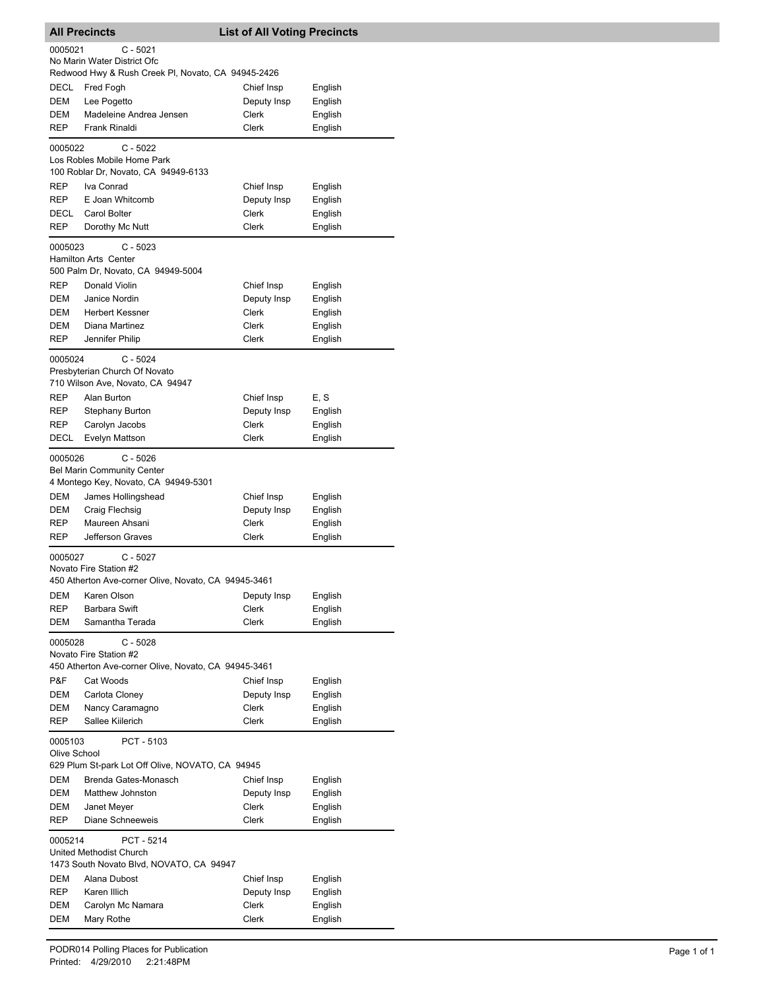| <b>All Precincts</b>                                 |                                                                                                       | <b>List of All Voting Precincts</b> |                    |  |
|------------------------------------------------------|-------------------------------------------------------------------------------------------------------|-------------------------------------|--------------------|--|
| 0005021                                              | $C - 5021$                                                                                            |                                     |                    |  |
|                                                      | No Marin Water District Ofc<br>Redwood Hwy & Rush Creek PI, Novato, CA 94945-2426                     |                                     |                    |  |
| DECL                                                 | Fred Fogh                                                                                             | Chief Insp                          | English            |  |
| DEM                                                  | Lee Pogetto                                                                                           | Deputy Insp                         | English            |  |
| DEM                                                  | Madeleine Andrea Jensen                                                                               | Clerk                               | English            |  |
| <b>REP</b>                                           | Frank Rinaldi                                                                                         | <b>Clerk</b>                        | English            |  |
| 0005022                                              | $C - 5022$<br>Los Robles Mobile Home Park<br>100 Roblar Dr, Novato, CA 94949-6133                     |                                     |                    |  |
| REP                                                  | Iva Conrad                                                                                            | Chief Insp                          | English            |  |
| REP                                                  | E Joan Whitcomb                                                                                       | Deputy Insp                         | English            |  |
| DECL                                                 | Carol Bolter                                                                                          | Clerk                               | English            |  |
| <b>REP</b>                                           | Dorothy Mc Nutt                                                                                       | Clerk                               | English            |  |
| 0005023                                              | $C - 5023$<br><b>Hamilton Arts Center</b><br>500 Palm Dr, Novato, CA 94949-5004                       |                                     |                    |  |
| <b>REP</b>                                           | Donald Violin                                                                                         | Chief Insp                          | English            |  |
| <b>DEM</b>                                           | Janice Nordin                                                                                         | Deputy Insp                         | English            |  |
| DEM                                                  | <b>Herbert Kessner</b>                                                                                | Clerk                               | English            |  |
| DEM<br><b>REP</b>                                    | Diana Martinez<br>Jennifer Philip                                                                     | Clerk<br><b>Clerk</b>               | English<br>English |  |
|                                                      |                                                                                                       |                                     |                    |  |
| 0005024                                              | $C - 5024$<br>Presbyterian Church Of Novato<br>710 Wilson Ave, Novato, CA 94947                       |                                     |                    |  |
| REP                                                  | Alan Burton                                                                                           | Chief Insp                          | E, S               |  |
| <b>REP</b>                                           | <b>Stephany Burton</b>                                                                                | Deputy Insp                         | English            |  |
| <b>REP</b>                                           | Carolyn Jacobs                                                                                        | <b>Clerk</b>                        | English            |  |
| DECL                                                 | Evelyn Mattson                                                                                        | Clerk                               | English            |  |
| 0005026                                              | $C - 5026$<br><b>Bel Marin Community Center</b><br>4 Montego Key, Novato, CA 94949-5301               |                                     |                    |  |
| DEM                                                  | James Hollingshead                                                                                    | Chief Insp                          | English            |  |
| DEM                                                  | Craig Flechsig                                                                                        | Deputy Insp                         | English            |  |
| REP                                                  | Maureen Ahsani                                                                                        | Clerk                               | English            |  |
| <b>REP</b>                                           | Jefferson Graves                                                                                      | Clerk                               | English            |  |
|                                                      | C - 5027<br>0005027<br>Novato Fire Station #2<br>450 Atherton Ave-corner Olive, Novato, CA 94945-3461 |                                     |                    |  |
| DEM                                                  | Karen Olson                                                                                           | Deputy Insp                         | English            |  |
| <b>REP</b>                                           | Barbara Swift                                                                                         | Clerk                               | English            |  |
| <b>DEM</b>                                           | Samantha Terada                                                                                       | Clerk                               | English            |  |
| 0005028                                              | $C - 5028$<br>Novato Fire Station #2                                                                  |                                     |                    |  |
| 450 Atherton Ave-corner Olive, Novato, CA 94945-3461 |                                                                                                       |                                     |                    |  |
| P&F<br>DEM                                           | Cat Woods<br>Carlota Cloney                                                                           | Chief Insp<br>Deputy Insp           | English            |  |
| DEM                                                  | Nancy Caramagno                                                                                       | Clerk                               | English<br>English |  |
| <b>REP</b>                                           | Sallee Kiilerich                                                                                      | Clerk                               | English            |  |
| 0005103<br>PCT - 5103<br>Olive School                |                                                                                                       |                                     |                    |  |
|                                                      | 629 Plum St-park Lot Off Olive, NOVATO, CA 94945                                                      |                                     |                    |  |
| DEM<br>DEM                                           | Brenda Gates-Monasch<br>Matthew Johnston                                                              | Chief Insp<br>Deputy Insp           | English<br>English |  |
| DEM                                                  | Janet Meyer                                                                                           | Clerk                               | English            |  |
| REP                                                  | Diane Schneeweis                                                                                      | Clerk                               | English            |  |
| 0005214                                              | PCT - 5214                                                                                            |                                     |                    |  |
|                                                      | United Methodist Church<br>1473 South Novato Blvd, NOVATO, CA 94947                                   |                                     |                    |  |
| DEM                                                  | Alana Dubost                                                                                          | Chief Insp                          | English            |  |
| REP                                                  | Karen Illich                                                                                          | Deputy Insp                         | English            |  |
| DEM<br>DEM                                           | Carolyn Mc Namara<br>Mary Rothe                                                                       | Clerk<br>Clerk                      | English<br>English |  |
|                                                      |                                                                                                       |                                     |                    |  |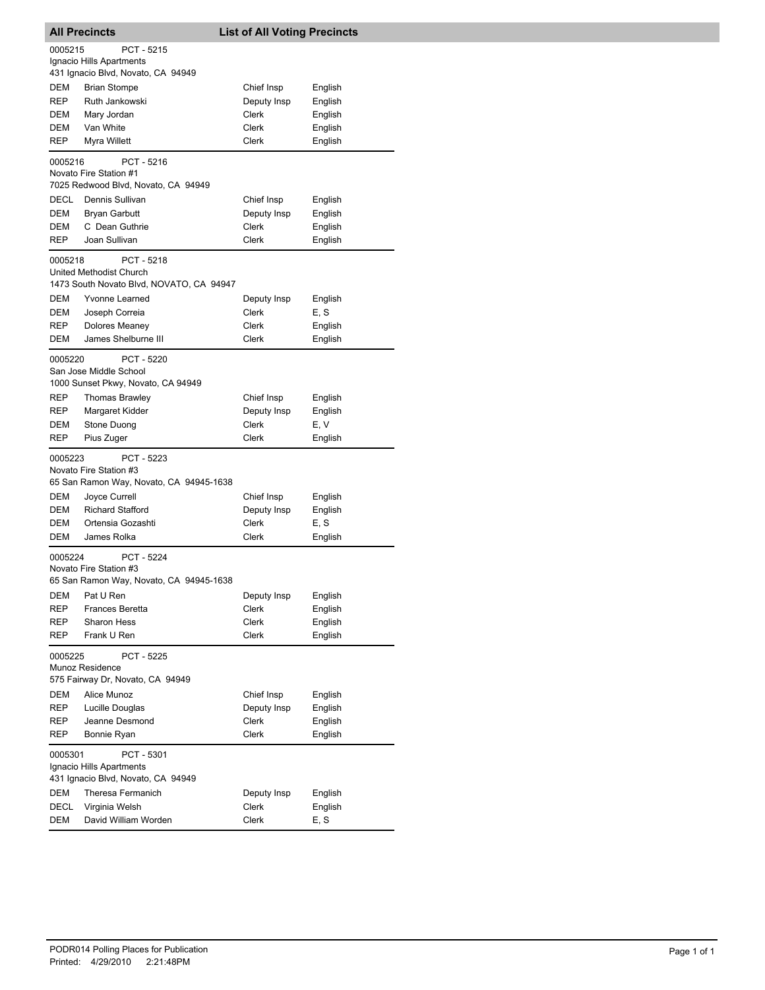| <b>All Precincts</b>                                                                    |                                                                                              | <b>List of All Voting Precincts</b> |                 |  |  |
|-----------------------------------------------------------------------------------------|----------------------------------------------------------------------------------------------|-------------------------------------|-----------------|--|--|
| 0005215                                                                                 | PCT - 5215<br>Ignacio Hills Apartments<br>431 Ignacio Blvd, Novato, CA 94949                 |                                     |                 |  |  |
| DEM                                                                                     | <b>Brian Stompe</b>                                                                          | Chief Insp                          | English         |  |  |
| REP                                                                                     | Ruth Jankowski                                                                               | Deputy Insp                         | English         |  |  |
| DEM                                                                                     | Mary Jordan                                                                                  | Clerk                               | English         |  |  |
| <b>DEM</b>                                                                              | Van White                                                                                    | Clerk                               | English         |  |  |
| REP                                                                                     | Myra Willett                                                                                 | Clerk                               | English         |  |  |
| 0005216                                                                                 | PCT - 5216<br>Novato Fire Station #1<br>7025 Redwood Blvd, Novato, CA 94949                  |                                     |                 |  |  |
| DECL                                                                                    | Dennis Sullivan                                                                              | Chief Insp                          | English         |  |  |
| DEM                                                                                     | <b>Bryan Garbutt</b>                                                                         | Deputy Insp                         | English         |  |  |
| DEM                                                                                     | C Dean Guthrie                                                                               | Clerk                               | English         |  |  |
| REP                                                                                     | Joan Sullivan                                                                                | Clerk                               | English         |  |  |
|                                                                                         | PCT - 5218<br>0005218<br>United Methodist Church<br>1473 South Novato Blvd, NOVATO, CA 94947 |                                     |                 |  |  |
| DEM                                                                                     | Yvonne Learned                                                                               | Deputy Insp                         | English         |  |  |
| DEM                                                                                     | Joseph Correia                                                                               | <b>Clerk</b>                        | E, S            |  |  |
| REP                                                                                     | Dolores Meaney                                                                               | Clerk                               | English         |  |  |
| DEM                                                                                     | James Shelburne III                                                                          | Clerk                               | English         |  |  |
|                                                                                         | 0005220<br>PCT - 5220<br>San Jose Middle School<br>1000 Sunset Pkwy, Novato, CA 94949        |                                     |                 |  |  |
| REP                                                                                     | <b>Thomas Brawley</b>                                                                        | Chief Insp                          | English         |  |  |
| REP                                                                                     | Margaret Kidder                                                                              | Deputy Insp                         | English         |  |  |
| DEM                                                                                     | Stone Duong                                                                                  | Clerk                               | E, V            |  |  |
| REP                                                                                     | Pius Zuger                                                                                   | Clerk                               | English         |  |  |
| 0005223                                                                                 | PCT - 5223<br>Novato Fire Station #3                                                         |                                     |                 |  |  |
|                                                                                         | 65 San Ramon Way, Novato, CA 94945-1638                                                      |                                     |                 |  |  |
| DEM                                                                                     | Joyce Currell                                                                                | Chief Insp                          | English         |  |  |
| DEM                                                                                     | <b>Richard Stafford</b><br>Ortensia Gozashti                                                 | Deputy Insp                         | English         |  |  |
| DEM<br>DEM                                                                              | James Rolka                                                                                  | Clerk<br>Clerk                      | E, S<br>English |  |  |
|                                                                                         |                                                                                              |                                     |                 |  |  |
| 0005224                                                                                 | PCT - 5224<br>Novato Fire Station #3<br>65 San Ramon Way, Novato, CA 94945-1638              |                                     |                 |  |  |
| DEM                                                                                     | Pat U Ren                                                                                    | Deputy Insp                         | English         |  |  |
| REP                                                                                     | <b>Frances Beretta</b>                                                                       | Clerk                               | English         |  |  |
| REP                                                                                     | <b>Sharon Hess</b>                                                                           | Clerk                               | English         |  |  |
| REP                                                                                     | Frank U Ren                                                                                  | <b>Clerk</b>                        | English         |  |  |
| 0005225<br>PCT - 5225<br>Munoz Residence<br>575 Fairway Dr, Novato, CA 94949            |                                                                                              |                                     |                 |  |  |
| DEM                                                                                     | Alice Munoz                                                                                  | Chief Insp                          | English         |  |  |
| REP                                                                                     | Lucille Douglas                                                                              | Deputy Insp                         | English         |  |  |
| REP                                                                                     | Jeanne Desmond                                                                               | Clerk                               | English         |  |  |
| REP                                                                                     | Bonnie Ryan                                                                                  | Clerk                               | English         |  |  |
| 0005301<br>PCT - 5301<br>Ignacio Hills Apartments<br>431 Ignacio Blvd, Novato, CA 94949 |                                                                                              |                                     |                 |  |  |
| DEM                                                                                     | Theresa Fermanich                                                                            | Deputy Insp                         | English         |  |  |
| DECL                                                                                    | Virginia Welsh                                                                               | Clerk                               | English         |  |  |
| DEM                                                                                     | David William Worden                                                                         | Clerk                               | E, S            |  |  |